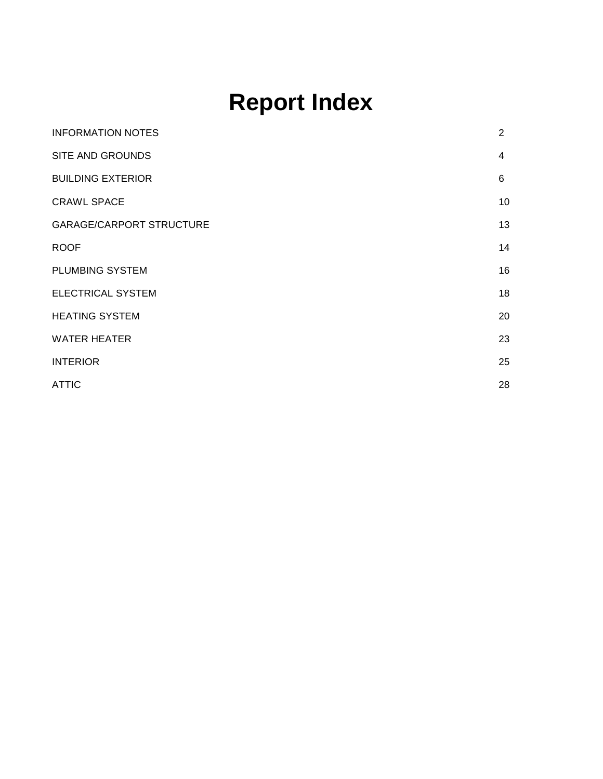# **Report Index**

| 2  |
|----|
| 4  |
| 6  |
| 10 |
| 13 |
| 14 |
| 16 |
| 18 |
| 20 |
| 23 |
| 25 |
| 28 |
|    |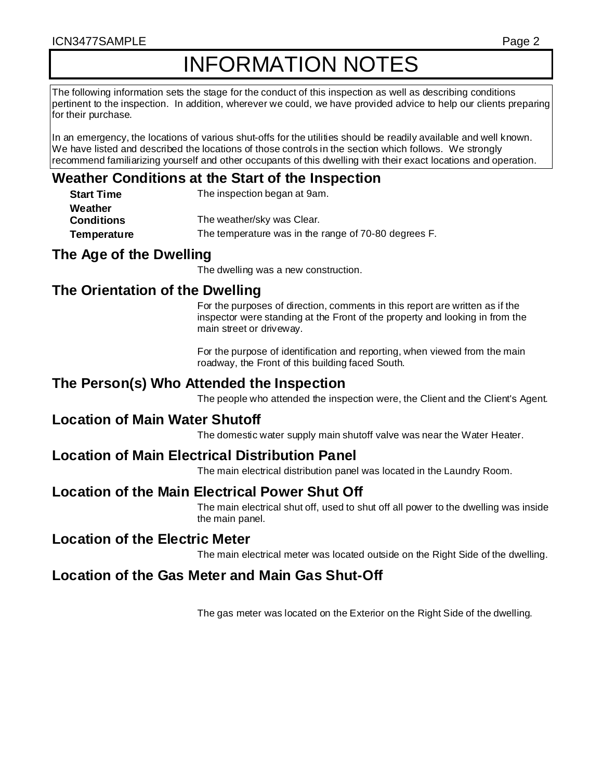#### ICN3477SAMPLE Page 2

# INFORMATION NOTES

The following information sets the stage for the conduct of this inspection as well as describing conditions pertinent to the inspection. In addition, wherever we could, we have provided advice to help our clients preparing for their purchase.

In an emergency, the locations of various shut-offs for the utilities should be readily available and well known. We have listed and described the locations of those controls in the section which follows. We strongly recommend familiarizing yourself and other occupants of this dwelling with their exact locations and operation.

# **Weather Conditions at the Start of the Inspection**

| <b>Start Time</b> | The inspection began at 9am.                         |
|-------------------|------------------------------------------------------|
| Weather           |                                                      |
| <b>Conditions</b> | The weather/sky was Clear.                           |
| Temperature       | The temperature was in the range of 70-80 degrees F. |

# **The Age of the Dwelling**

The dwelling was a new construction.

# **The Orientation of the Dwelling**

For the purposes of direction, comments in this report are written as if the inspector were standing at the Front of the property and looking in from the main street or driveway.

For the purpose of identification and reporting, when viewed from the main roadway, the Front of this building faced South.

### **The Person(s) Who Attended the Inspection**

The people who attended the inspection were, the Client and the Client's Agent.

#### **Location of Main Water Shutoff**

The domestic water supply main shutoff valve was near the Water Heater.

# **Location of Main Electrical Distribution Panel**

The main electrical distribution panel was located in the Laundry Room.

# **Location of the Main Electrical Power Shut Off**

The main electrical shut off, used to shut off all power to the dwelling was inside the main panel.

#### **Location of the Electric Meter**

The main electrical meter was located outside on the Right Side of the dwelling.

# **Location of the Gas Meter and Main Gas Shut-Off**

The gas meter was located on the Exterior on the Right Side of the dwelling.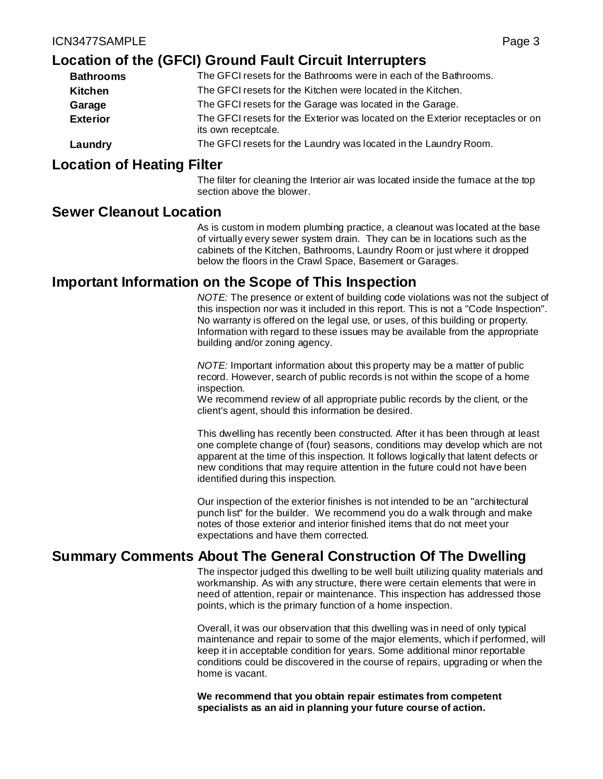# **Location of the (GFCI) Ground Fault Circuit Interrupters**

| <b>Bathrooms</b> | The GFCI resets for the Bathrooms were in each of the Bathrooms.                                      |
|------------------|-------------------------------------------------------------------------------------------------------|
| Kitchen          | The GFCI resets for the Kitchen were located in the Kitchen.                                          |
| Garage           | The GFCI resets for the Garage was located in the Garage.                                             |
| <b>Exterior</b>  | The GFCI resets for the Exterior was located on the Exterior receptacles or on<br>its own receptcale. |
| Laundry          | The GFCI resets for the Laundry was located in the Laundry Room.                                      |

#### **Location of Heating Filter**

The filter for cleaning the Interior air was located inside the furnace at the top section above the blower.

# **Sewer Cleanout Location**

As is custom in modern plumbing practice, a cleanout was located at the base of virtually every sewer system drain. They can be in locations such as the cabinets of the Kitchen, Bathrooms, Laundry Room or just where it dropped below the floors in the Crawl Space, Basement or Garages.

# **Important Information on the Scope of This Inspection**

*NOTE:* The presence or extent of building code violations was not the subject of this inspection nor was it included in this report. This is not a "Code Inspection". No warranty is offered on the legal use, or uses, of this building or property. Information with regard to these issues may be available from the appropriate building and/or zoning agency.

*NOTE:* Important information about this property may be a matter of public record. However, search of public records is not within the scope of a home inspection.

We recommend review of all appropriate public records by the client, or the client's agent, should this information be desired.

This dwelling has recently been constructed. After it has been through at least one complete change of (four) seasons, conditions may develop which are not apparent at the time of this inspection. It follows logically that latent defects or new conditions that may require attention in the future could not have been identified during this inspection.

Our inspection of the exterior finishes is not intended to be an "architectural punch list" for the builder. We recommend you do a walk through and make notes of those exterior and interior finished items that do not meet your expectations and have them corrected.

# **Summary Comments About The General Construction Of The Dwelling**

The inspector judged this dwelling to be well built utilizing quality materials and workmanship. As with any structure, there were certain elements that were in need of attention, repair or maintenance. This inspection has addressed those points, which is the primary function of a home inspection.

Overall, it was our observation that this dwelling was in need of only typical maintenance and repair to some of the major elements, which if performed, will keep it in acceptable condition for years. Some additional minor reportable conditions could be discovered in the course of repairs, upgrading or when the home is vacant.

**We recommend that you obtain repair estimates from competent specialists as an aid in planning your future course of action.**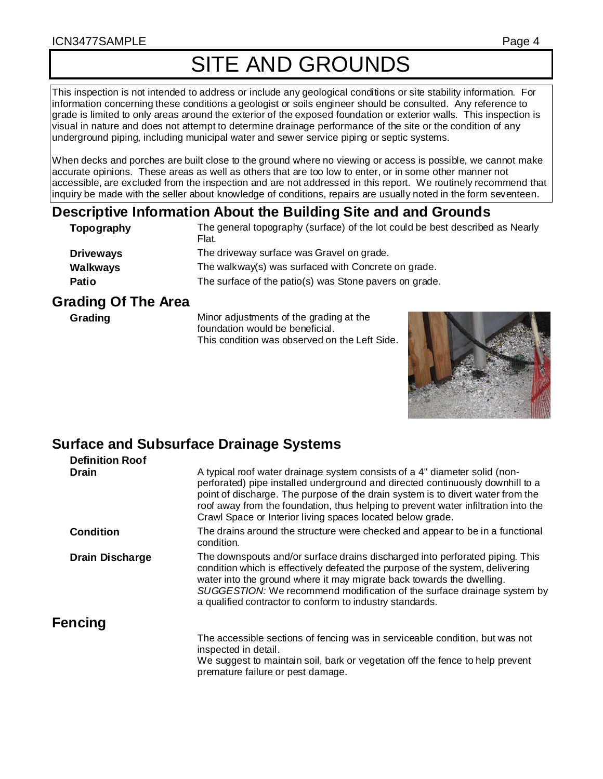#### ICN3477SAMPLE Page 4

# SITE AND GROUNDS

This inspection is not intended to address or include any geological conditions or site stability information. For information concerning these conditions a geologist or soils engineer should be consulted. Any reference to grade is limited to only areas around the exterior of the exposed foundation or exterior walls. This inspection is visual in nature and does not attempt to determine drainage performance of the site or the condition of any underground piping, including municipal water and sewer service piping or septic systems.

When decks and porches are built close to the ground where no viewing or access is possible, we cannot make accurate opinions. These areas as well as others that are too low to enter, or in some other manner not accessible, are excluded from the inspection and are not addressed in this report. We routinely recommend that inquiry be made with the seller about knowledge of conditions, repairs are usually noted in the form seventeen.

# **Descriptive Information About the Building Site and and Grounds**

| Topography       | The general topography (surface) of the lot could be best described as Nearly<br>Flat. |
|------------------|----------------------------------------------------------------------------------------|
| <b>Driveways</b> | The driveway surface was Gravel on grade.                                              |
| Walkways         | The walkway(s) was surfaced with Concrete on grade.                                    |
| <b>Patio</b>     | The surface of the patio(s) was Stone pavers on grade.                                 |

# **Grading Of The Area**

**Grading** Minor adjustments of the grading at the foundation would be beneficial. This condition was observed on the Left Side.



# **Surface and Subsurface Drainage Systems**

| <b>Definition Roof</b> |                                                                                                                                                                                                                                                                                                                                                                                                     |
|------------------------|-----------------------------------------------------------------------------------------------------------------------------------------------------------------------------------------------------------------------------------------------------------------------------------------------------------------------------------------------------------------------------------------------------|
| <b>Drain</b>           | A typical roof water drainage system consists of a 4" diameter solid (non-<br>perforated) pipe installed underground and directed continuously downhill to a<br>point of discharge. The purpose of the drain system is to divert water from the<br>roof away from the foundation, thus helping to prevent water infiltration into the<br>Crawl Space or Interior living spaces located below grade. |
| <b>Condition</b>       | The drains around the structure were checked and appear to be in a functional<br>condition.                                                                                                                                                                                                                                                                                                         |
| <b>Drain Discharge</b> | The downspouts and/or surface drains discharged into perforated piping. This<br>condition which is effectively defeated the purpose of the system, delivering<br>water into the ground where it may migrate back towards the dwelling.<br>SUGGESTION: We recommend modification of the surface drainage system by<br>a qualified contractor to conform to industry standards.                       |
| Fencing                |                                                                                                                                                                                                                                                                                                                                                                                                     |
|                        | The accessible sections of fencing was in serviceable condition, but was not<br>inspected in detail.<br>We suggest to maintain soil, bark or vegetation off the fence to help prevent<br>premature failure or pest damage.                                                                                                                                                                          |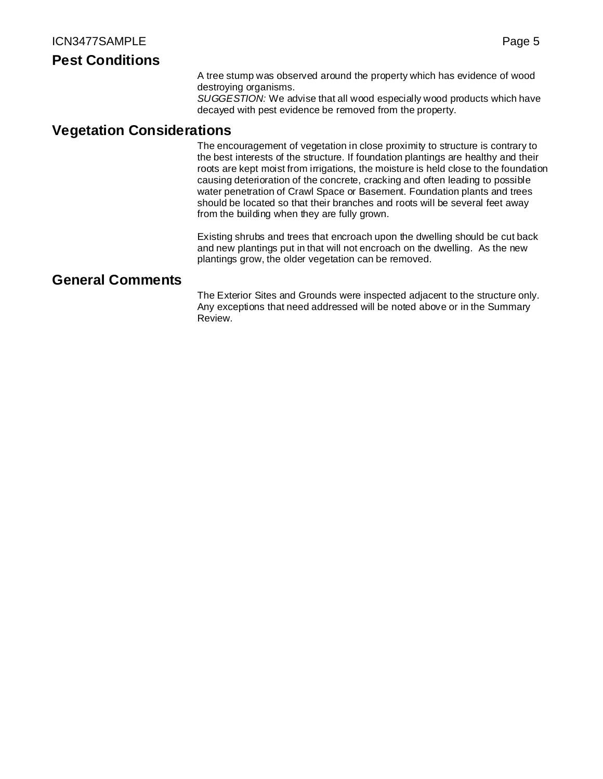#### **Pest Conditions**

A tree stump was observed around the property which has evidence of wood destroying organisms.

*SUGGESTION:* We advise that all wood especially wood products which have decayed with pest evidence be removed from the property.

#### **Vegetation Considerations**

The encouragement of vegetation in close proximity to structure is contrary to the best interests of the structure. If foundation plantings are healthy and their roots are kept moist from irrigations, the moisture is held close to the foundation causing deterioration of the concrete, cracking and often leading to possible water penetration of Crawl Space or Basement. Foundation plants and trees should be located so that their branches and roots will be several feet away from the building when they are fully grown.

Existing shrubs and trees that encroach upon the dwelling should be cut back and new plantings put in that will not encroach on the dwelling. As the new plantings grow, the older vegetation can be removed.

### **General Comments**

The Exterior Sites and Grounds were inspected adjacent to the structure only. Any exceptions that need addressed will be noted above or in the Summary Review.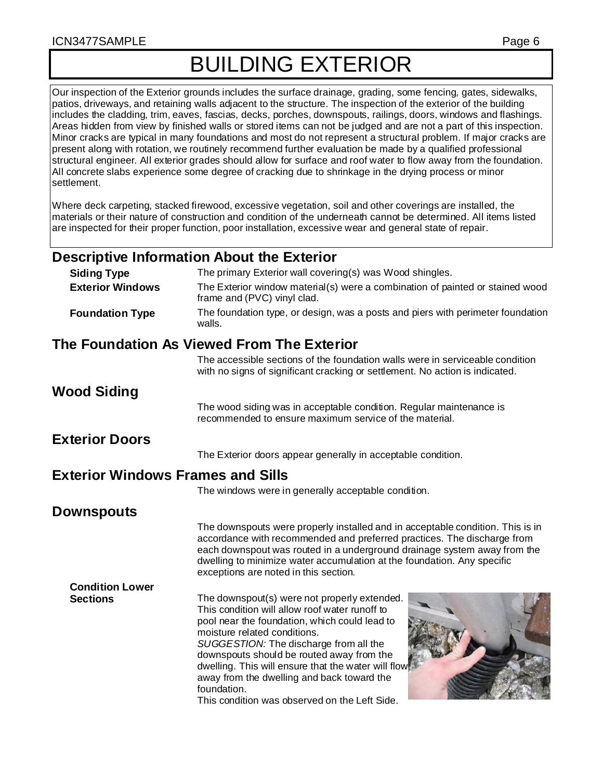#### ICN3477SAMPLE Page 6

Our inspection of the Exterior grounds includes the surface drainage, grading, some fencing, gates, sidewalks, patios, driveways, and retaining walls adjacent to the structure. The inspection of the exterior of the building includes the cladding, trim, eaves, fascias, decks, porches, downspouts, railings, doors, windows and flashings. Areas hidden from view by finished walls or stored items can not be judged and are not a part of this inspection. Minor cracks are typical in many foundations and most do not represent a structural problem. If major cracks are present along with rotation, we routinely recommend further evaluation be made by a qualified professional structural engineer. All exterior grades should allow for surface and roof water to flow away from the foundation. All concrete slabs experience some degree of cracking due to shrinkage in the drying process or minor settlement.

Where deck carpeting, stacked firewood, excessive vegetation, soil and other coverings are installed, the materials or their nature of construction and condition of the underneath cannot be determined. All items listed are inspected for their proper function, poor installation, excessive wear and general state of repair.

# **Descriptive Information About the Exterior**

| <b>Siding Type</b>                       | The primary Exterior wall covering(s) was Wood shingles.                                                                                                                                                                                                                                                                                                                                                                                    |
|------------------------------------------|---------------------------------------------------------------------------------------------------------------------------------------------------------------------------------------------------------------------------------------------------------------------------------------------------------------------------------------------------------------------------------------------------------------------------------------------|
| <b>Exterior Windows</b>                  | The Exterior window material(s) were a combination of painted or stained wood<br>frame and (PVC) vinyl clad.                                                                                                                                                                                                                                                                                                                                |
| <b>Foundation Type</b>                   | The foundation type, or design, was a posts and piers with perimeter foundation<br>walls.                                                                                                                                                                                                                                                                                                                                                   |
|                                          | The Foundation As Viewed From The Exterior                                                                                                                                                                                                                                                                                                                                                                                                  |
|                                          | The accessible sections of the foundation walls were in serviceable condition<br>with no signs of significant cracking or settlement. No action is indicated.                                                                                                                                                                                                                                                                               |
| Wood Siding                              |                                                                                                                                                                                                                                                                                                                                                                                                                                             |
|                                          | The wood siding was in acceptable condition. Regular maintenance is<br>recommended to ensure maximum service of the material.                                                                                                                                                                                                                                                                                                               |
| <b>Exterior Doors</b>                    |                                                                                                                                                                                                                                                                                                                                                                                                                                             |
|                                          | The Exterior doors appear generally in acceptable condition.                                                                                                                                                                                                                                                                                                                                                                                |
| <b>Exterior Windows Frames and Sills</b> |                                                                                                                                                                                                                                                                                                                                                                                                                                             |
|                                          | The windows were in generally acceptable condition.                                                                                                                                                                                                                                                                                                                                                                                         |
| <b>Downspouts</b>                        |                                                                                                                                                                                                                                                                                                                                                                                                                                             |
|                                          | The downspouts were properly installed and in acceptable condition. This is in<br>accordance with recommended and preferred practices. The discharge from<br>each downspout was routed in a underground drainage system away from the<br>dwelling to minimize water accumulation at the foundation. Any specific<br>exceptions are noted in this section.                                                                                   |
| <b>Condition Lower</b>                   |                                                                                                                                                                                                                                                                                                                                                                                                                                             |
| <b>Sections</b>                          | The downspout(s) were not properly extended.<br>This condition will allow roof water runoff to<br>pool near the foundation, which could lead to<br>moisture related conditions.<br>SUGGESTION: The discharge from all the<br>downspouts should be routed away from the<br>dwelling. This will ensure that the water will flow<br>away from the dwelling and back toward the<br>foundation.<br>This condition was observed on the Left Side. |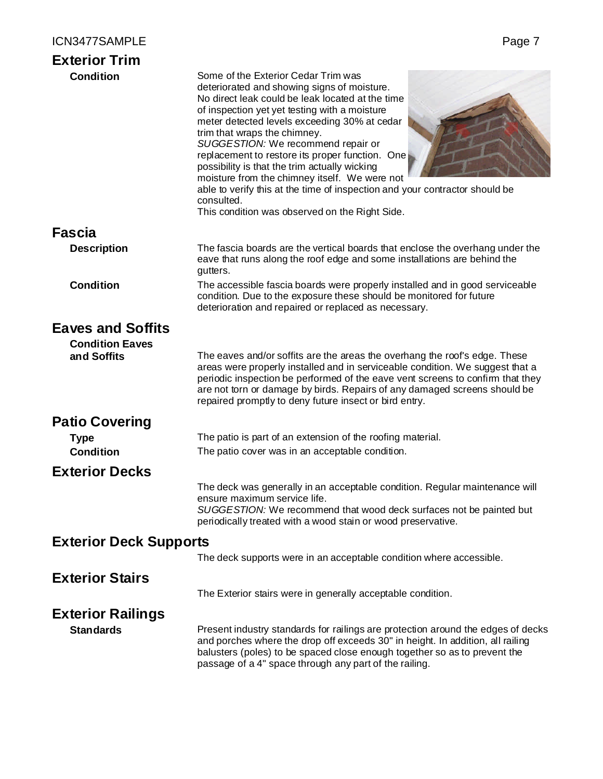| <b>Exterior Trim</b>          |                                                                                                                                                                                                                                                                                                                                                                                                                                                                                                                                                                                                                   |
|-------------------------------|-------------------------------------------------------------------------------------------------------------------------------------------------------------------------------------------------------------------------------------------------------------------------------------------------------------------------------------------------------------------------------------------------------------------------------------------------------------------------------------------------------------------------------------------------------------------------------------------------------------------|
| <b>Condition</b>              | Some of the Exterior Cedar Trim was<br>deteriorated and showing signs of moisture.<br>No direct leak could be leak located at the time<br>of inspection yet yet testing with a moisture<br>meter detected levels exceeding 30% at cedar<br>trim that wraps the chimney.<br>SUGGESTION: We recommend repair or<br>replacement to restore its proper function. One<br>possibility is that the trim actually wicking<br>moisture from the chimney itself. We were not<br>able to verify this at the time of inspection and your contractor should be<br>consulted.<br>This condition was observed on the Right Side. |
| <b>Fascia</b>                 |                                                                                                                                                                                                                                                                                                                                                                                                                                                                                                                                                                                                                   |
| <b>Description</b>            | The fascia boards are the vertical boards that enclose the overhang under the<br>eave that runs along the roof edge and some installations are behind the<br>gutters.                                                                                                                                                                                                                                                                                                                                                                                                                                             |
| <b>Condition</b>              | The accessible fascia boards were properly installed and in good serviceable<br>condition. Due to the exposure these should be monitored for future<br>deterioration and repaired or replaced as necessary.                                                                                                                                                                                                                                                                                                                                                                                                       |
| <b>Eaves and Soffits</b>      |                                                                                                                                                                                                                                                                                                                                                                                                                                                                                                                                                                                                                   |
| <b>Condition Eaves</b>        |                                                                                                                                                                                                                                                                                                                                                                                                                                                                                                                                                                                                                   |
| and Soffits                   | The eaves and/or soffits are the areas the overhang the roof's edge. These<br>areas were properly installed and in serviceable condition. We suggest that a<br>periodic inspection be performed of the eave vent screens to confirm that they<br>are not torn or damage by birds. Repairs of any damaged screens should be<br>repaired promptly to deny future insect or bird entry.                                                                                                                                                                                                                              |
| <b>Patio Covering</b>         |                                                                                                                                                                                                                                                                                                                                                                                                                                                                                                                                                                                                                   |
| <b>Type</b>                   | The patio is part of an extension of the roofing material.                                                                                                                                                                                                                                                                                                                                                                                                                                                                                                                                                        |
| <b>Condition</b>              | The patio cover was in an acceptable condition.                                                                                                                                                                                                                                                                                                                                                                                                                                                                                                                                                                   |
| <b>Exterior Decks</b>         |                                                                                                                                                                                                                                                                                                                                                                                                                                                                                                                                                                                                                   |
|                               | The deck was generally in an acceptable condition. Regular maintenance will<br>ensure maximum service life.<br>SUGGESTION: We recommend that wood deck surfaces not be painted but<br>periodically treated with a wood stain or wood preservative.                                                                                                                                                                                                                                                                                                                                                                |
| <b>Exterior Deck Supports</b> |                                                                                                                                                                                                                                                                                                                                                                                                                                                                                                                                                                                                                   |
|                               | The deck supports were in an acceptable condition where accessible.                                                                                                                                                                                                                                                                                                                                                                                                                                                                                                                                               |
| <b>Exterior Stairs</b>        |                                                                                                                                                                                                                                                                                                                                                                                                                                                                                                                                                                                                                   |
|                               | The Exterior stairs were in generally acceptable condition.                                                                                                                                                                                                                                                                                                                                                                                                                                                                                                                                                       |
| <b>Exterior Railings</b>      |                                                                                                                                                                                                                                                                                                                                                                                                                                                                                                                                                                                                                   |
| <b>Standards</b>              | Present industry standards for railings are protection around the edges of decks<br>and porches where the drop off exceeds 30" in height. In addition, all railing<br>balusters (poles) to be spaced close enough together so as to prevent the<br>passage of a 4" space through any part of the railing.                                                                                                                                                                                                                                                                                                         |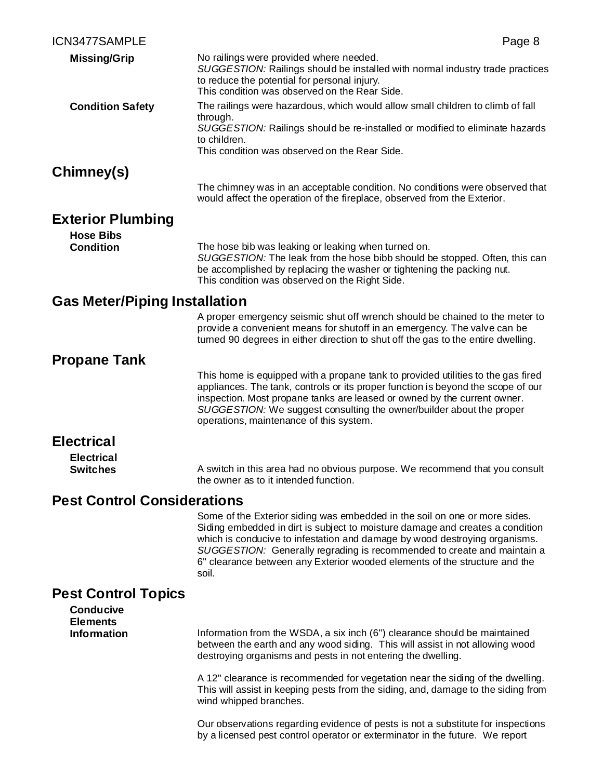| ICN3477SAMPLE                                | Page 8                                                                                                                                                                                                                                                                                                                                                                                                      |
|----------------------------------------------|-------------------------------------------------------------------------------------------------------------------------------------------------------------------------------------------------------------------------------------------------------------------------------------------------------------------------------------------------------------------------------------------------------------|
| <b>Missing/Grip</b>                          | No railings were provided where needed.<br>SUGGESTION: Railings should be installed with normal industry trade practices<br>to reduce the potential for personal injury.<br>This condition was observed on the Rear Side.                                                                                                                                                                                   |
| <b>Condition Safety</b>                      | The railings were hazardous, which would allow small children to climb of fall                                                                                                                                                                                                                                                                                                                              |
|                                              | through.<br>SUGGESTION: Railings should be re-installed or modified to eliminate hazards<br>to children.<br>This condition was observed on the Rear Side.                                                                                                                                                                                                                                                   |
| Chimney(s)                                   |                                                                                                                                                                                                                                                                                                                                                                                                             |
|                                              | The chimney was in an acceptable condition. No conditions were observed that<br>would affect the operation of the fireplace, observed from the Exterior.                                                                                                                                                                                                                                                    |
| <b>Exterior Plumbing</b><br><b>Hose Bibs</b> |                                                                                                                                                                                                                                                                                                                                                                                                             |
| <b>Condition</b>                             | The hose bib was leaking or leaking when turned on.<br>SUGGESTION: The leak from the hose bibb should be stopped. Often, this can<br>be accomplished by replacing the washer or tightening the packing nut.<br>This condition was observed on the Right Side.                                                                                                                                               |
| <b>Gas Meter/Piping Installation</b>         |                                                                                                                                                                                                                                                                                                                                                                                                             |
|                                              | A proper emergency seismic shut off wrench should be chained to the meter to<br>provide a convenient means for shutoff in an emergency. The valve can be<br>turned 90 degrees in either direction to shut off the gas to the entire dwelling.                                                                                                                                                               |
| <b>Propane Tank</b>                          |                                                                                                                                                                                                                                                                                                                                                                                                             |
|                                              | This home is equipped with a propane tank to provided utilities to the gas fired<br>appliances. The tank, controls or its proper function is beyond the scope of our<br>inspection. Most propane tanks are leased or owned by the current owner.<br>SUGGESTION: We suggest consulting the owner/builder about the proper<br>operations, maintenance of this system.                                         |
| <b>Electrical</b>                            |                                                                                                                                                                                                                                                                                                                                                                                                             |
| <b>Electrical</b>                            |                                                                                                                                                                                                                                                                                                                                                                                                             |
| <b>Switches</b>                              | A switch in this area had no obvious purpose. We recommend that you consult<br>the owner as to it intended function.                                                                                                                                                                                                                                                                                        |
| <b>Pest Control Considerations</b>           |                                                                                                                                                                                                                                                                                                                                                                                                             |
|                                              | Some of the Exterior siding was embedded in the soil on one or more sides.<br>Siding embedded in dirt is subject to moisture damage and creates a condition<br>which is conducive to infestation and damage by wood destroying organisms.<br>SUGGESTION: Generally regrading is recommended to create and maintain a<br>6" clearance between any Exterior wooded elements of the structure and the<br>soil. |
| <b>Pest Control Topics</b>                   |                                                                                                                                                                                                                                                                                                                                                                                                             |
| <b>Conducive</b><br><b>Elements</b>          |                                                                                                                                                                                                                                                                                                                                                                                                             |
| <b>Information</b>                           | Information from the WSDA, a six inch (6") clearance should be maintained<br>between the earth and any wood siding. This will assist in not allowing wood<br>destroying organisms and pests in not entering the dwelling.                                                                                                                                                                                   |
|                                              | A 12" clearance is recommended for vegetation near the siding of the dwelling.<br>This will assist in keeping pests from the siding, and, damage to the siding from<br>wind whipped branches.                                                                                                                                                                                                               |

Our observations regarding evidence of pests is not a substitute for inspections by a licensed pest control operator or exterminator in the future. We report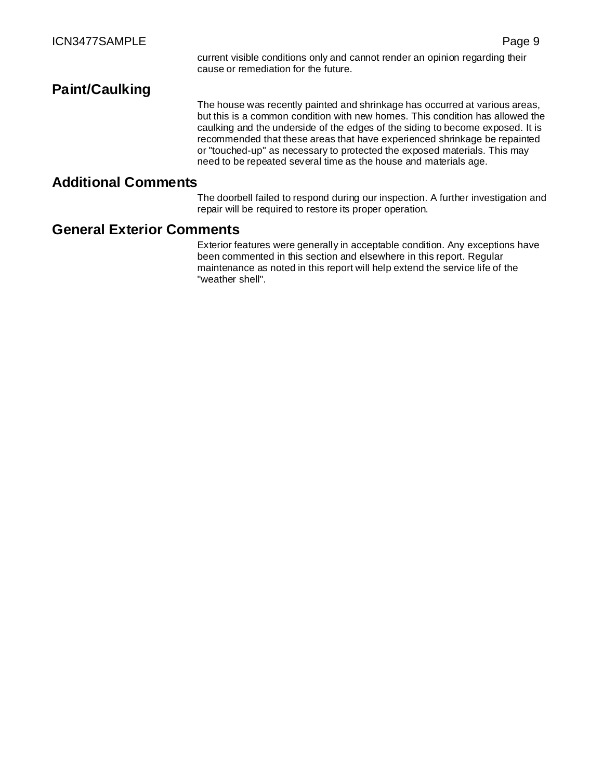# **Paint/Caulking**

The house was recently painted and shrinkage has occurred at various areas, but this is a common condition with new homes. This condition has allowed the caulking and the underside of the edges of the siding to become exposed. It is recommended that these areas that have experienced shrinkage be repainted or "touched-up" as necessary to protected the exposed materials. This may need to be repeated several time as the house and materials age.

#### **Additional Comments**

The doorbell failed to respond during our inspection. A further investigation and repair will be required to restore its proper operation.

#### **General Exterior Comments**

Exterior features were generally in acceptable condition. Any exceptions have been commented in this section and elsewhere in this report. Regular maintenance as noted in this report will help extend the service life of the "weather shell".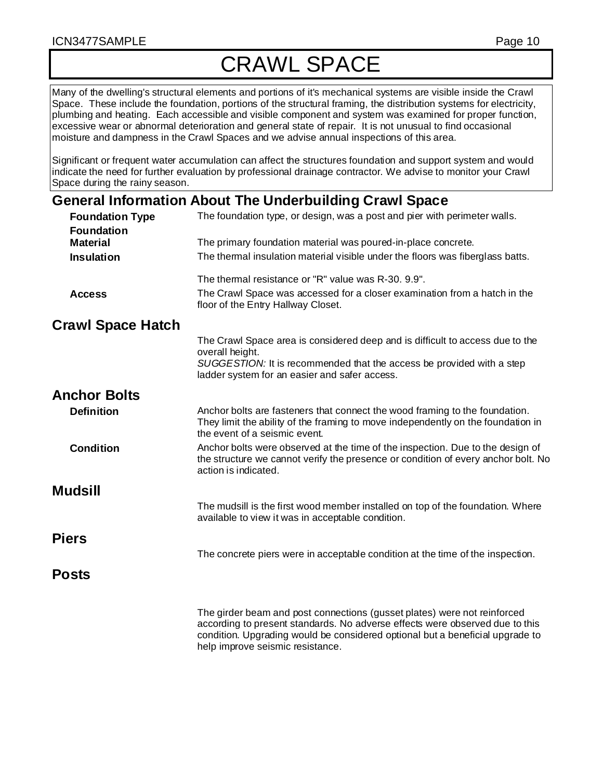# CRAWL SPACE

Many of the dwelling's structural elements and portions of it's mechanical systems are visible inside the Crawl Space. These include the foundation, portions of the structural framing, the distribution systems for electricity, plumbing and heating. Each accessible and visible component and system was examined for proper function, excessive wear or abnormal deterioration and general state of repair. It is not unusual to find occasional moisture and dampness in the Crawl Spaces and we advise annual inspections of this area.

Significant or frequent water accumulation can affect the structures foundation and support system and would indicate the need for further evaluation by professional drainage contractor. We advise to monitor your Crawl Space during the rainy season.

# **General Information About The Underbuilding Crawl Space**

| <b>Foundation Type</b>               | The foundation type, or design, was a post and pier with perimeter walls.                                                                                                                                                                 |
|--------------------------------------|-------------------------------------------------------------------------------------------------------------------------------------------------------------------------------------------------------------------------------------------|
| <b>Foundation</b><br><b>Material</b> | The primary foundation material was poured-in-place concrete.                                                                                                                                                                             |
| <b>Insulation</b>                    | The thermal insulation material visible under the floors was fiberglass batts.                                                                                                                                                            |
|                                      | The thermal resistance or "R" value was R-30, 9.9".                                                                                                                                                                                       |
| <b>Access</b>                        | The Crawl Space was accessed for a closer examination from a hatch in the<br>floor of the Entry Hallway Closet.                                                                                                                           |
| <b>Crawl Space Hatch</b>             |                                                                                                                                                                                                                                           |
|                                      | The Crawl Space area is considered deep and is difficult to access due to the<br>overall height.<br>SUGGESTION: It is recommended that the access be provided with a step                                                                 |
|                                      | ladder system for an easier and safer access.                                                                                                                                                                                             |
| <b>Anchor Bolts</b>                  |                                                                                                                                                                                                                                           |
| <b>Definition</b>                    | Anchor bolts are fasteners that connect the wood framing to the foundation.<br>They limit the ability of the framing to move independently on the foundation in<br>the event of a seismic event.                                          |
| <b>Condition</b>                     | Anchor bolts were observed at the time of the inspection. Due to the design of<br>the structure we cannot verify the presence or condition of every anchor bolt. No<br>action is indicated.                                               |
| <b>Mudsill</b>                       |                                                                                                                                                                                                                                           |
|                                      | The mudsill is the first wood member installed on top of the foundation. Where<br>available to view it was in acceptable condition.                                                                                                       |
| <b>Piers</b>                         |                                                                                                                                                                                                                                           |
|                                      | The concrete piers were in acceptable condition at the time of the inspection.                                                                                                                                                            |
| <b>Posts</b>                         |                                                                                                                                                                                                                                           |
|                                      | The girder beam and post connections (gusset plates) were not reinforced<br>according to present standards. No adverse effects were observed due to this<br>condition. Upgrading would be considered optional but a beneficial upgrade to |

help improve seismic resistance.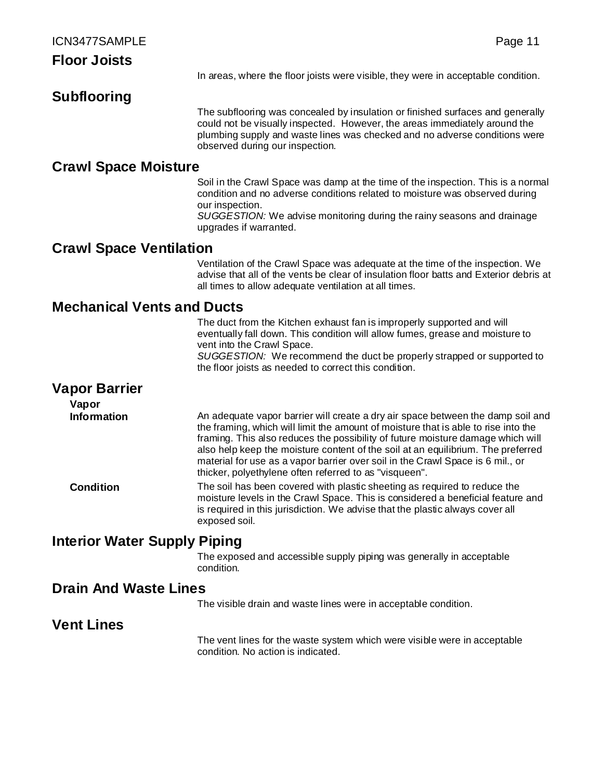# **Subflooring**

The subflooring was concealed by insulation or finished surfaces and generally could not be visually inspected. However, the areas immediately around the plumbing supply and waste lines was checked and no adverse conditions were observed during our inspection.

### **Crawl Space Moisture**

Soil in the Crawl Space was damp at the time of the inspection. This is a normal condition and no adverse conditions related to moisture was observed during our inspection.

*SUGGESTION:* We advise monitoring during the rainy seasons and drainage upgrades if warranted.

# **Crawl Space Ventilation**

Ventilation of the Crawl Space was adequate at the time of the inspection. We advise that all of the vents be clear of insulation floor batts and Exterior debris at all times to allow adequate ventilation at all times.

# **Mechanical Vents and Ducts**

The duct from the Kitchen exhaust fan is improperly supported and will eventually fall down. This condition will allow fumes, grease and moisture to vent into the Crawl Space. *SUGGESTION:* We recommend the duct be properly strapped or supported to

the floor joists as needed to correct this condition.

# **Vapor Barrier**

**Vapor Information** An adequate vapor barrier will create a dry air space between the damp soil and the framing, which will limit the amount of moisture that is able to rise into the framing. This also reduces the possibility of future moisture damage which will also help keep the moisture content of the soil at an equilibrium. The preferred material for use as a vapor barrier over soil in the Crawl Space is 6 mil., or thicker, polyethylene often referred to as "visqueen".

**Condition** The soil has been covered with plastic sheeting as required to reduce the moisture levels in the Crawl Space. This is considered a beneficial feature and is required in this jurisdiction. We advise that the plastic always cover all exposed soil.

# **Interior Water Supply Piping**

The exposed and accessible supply piping was generally in acceptable condition.

# **Drain And Waste Lines**

The visible drain and waste lines were in acceptable condition.

# **Vent Lines**

The vent lines for the waste system which were visible were in acceptable condition. No action is indicated.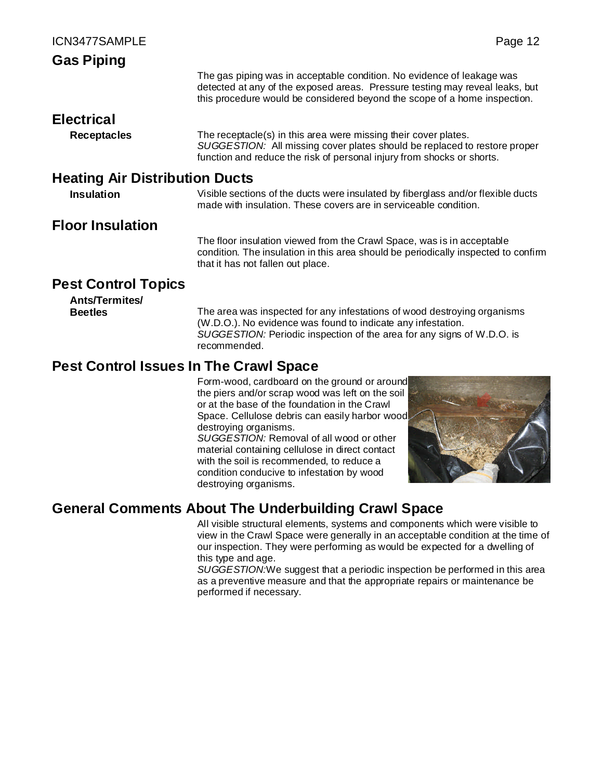| <b>Gas Piping</b>                     |                                                                                                                                                                                                                                     |
|---------------------------------------|-------------------------------------------------------------------------------------------------------------------------------------------------------------------------------------------------------------------------------------|
|                                       | The gas piping was in acceptable condition. No evidence of leakage was<br>detected at any of the exposed areas. Pressure testing may reveal leaks, but<br>this procedure would be considered beyond the scope of a home inspection. |
| <b>Electrical</b>                     |                                                                                                                                                                                                                                     |
| <b>Receptacles</b>                    | The receptacle(s) in this area were missing their cover plates.<br>SUGGESTION: All missing cover plates should be replaced to restore proper<br>function and reduce the risk of personal injury from shocks or shorts.              |
| <b>Heating Air Distribution Ducts</b> |                                                                                                                                                                                                                                     |
| <b>Insulation</b>                     | Visible sections of the ducts were insulated by fiberglass and/or flexible ducts<br>made with insulation. These covers are in serviceable condition.                                                                                |
|                                       |                                                                                                                                                                                                                                     |

# **Floor Insulation**

The floor insulation viewed from the Crawl Space, was is in acceptable condition. The insulation in this area should be periodically inspected to confirm that it has not fallen out place.

# **Pest Control Topics**

# **Ants/Termites/**

**Beetles** The area was inspected for any infestations of wood destroying organisms (W.D.O.). No evidence was found to indicate any infestation. *SUGGESTION:* Periodic inspection of the area for any signs of W.D.O. is recommended.

# **Pest Control Issues In The Crawl Space**

Form-wood, cardboard on the ground or around the piers and/or scrap wood was left on the soil or at the base of the foundation in the Crawl Space. Cellulose debris can easily harbor wood destroying organisms.

*SUGGESTION:* Removal of all wood or other material containing cellulose in direct contact with the soil is recommended, to reduce a condition conducive to infestation by wood destroying organisms.



# **General Comments About The Underbuilding Crawl Space**

All visible structural elements, systems and components which were visible to view in the Crawl Space were generally in an acceptable condition at the time of our inspection. They were performing as would be expected for a dwelling of this type and age.

*SUGGESTION:*We suggest that a periodic inspection be performed in this area as a preventive measure and that the appropriate repairs or maintenance be performed if necessary.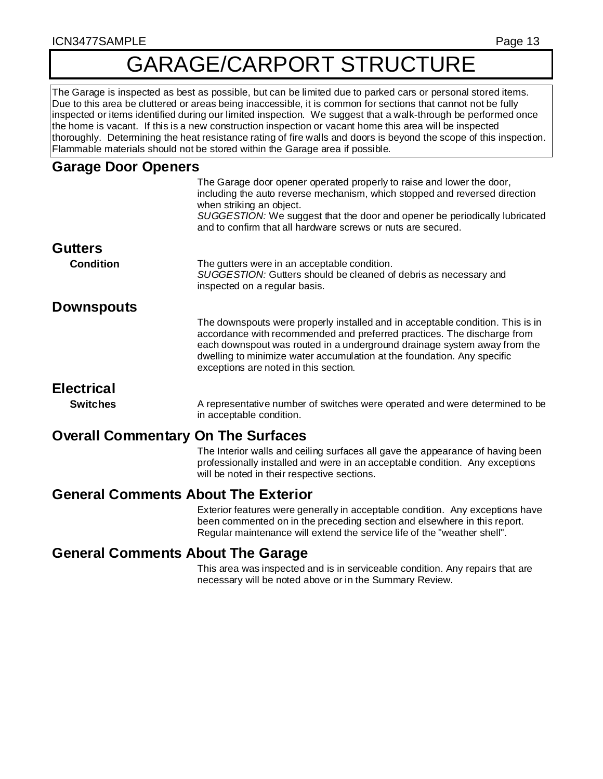# GARAGE/CARPORT STRUCTURE

The Garage is inspected as best as possible, but can be limited due to parked cars or personal stored items. Due to this area be cluttered or areas being inaccessible, it is common for sections that cannot not be fully inspected or items identified during our limited inspection. We suggest that a walk-through be performed once the home is vacant. If this is a new construction inspection or vacant home this area will be inspected thoroughly. Determining the heat resistance rating of fire walls and doors is beyond the scope of this inspection. Flammable materials should not be stored within the Garage area if possible.

#### **Garage Door Openers**

|                                           | The Garage door opener operated properly to raise and lower the door,<br>including the auto reverse mechanism, which stopped and reversed direction<br>when striking an object.<br>SUGGESTION: We suggest that the door and opener be periodically lubricated<br>and to confirm that all hardware screws or nuts are secured.                             |
|-------------------------------------------|-----------------------------------------------------------------------------------------------------------------------------------------------------------------------------------------------------------------------------------------------------------------------------------------------------------------------------------------------------------|
| <b>Gutters</b>                            |                                                                                                                                                                                                                                                                                                                                                           |
| <b>Condition</b>                          | The gutters were in an acceptable condition.<br>SUGGESTION: Gutters should be cleaned of debris as necessary and<br>inspected on a regular basis.                                                                                                                                                                                                         |
| <b>Downspouts</b>                         |                                                                                                                                                                                                                                                                                                                                                           |
|                                           | The downspouts were properly installed and in acceptable condition. This is in<br>accordance with recommended and preferred practices. The discharge from<br>each downspout was routed in a underground drainage system away from the<br>dwelling to minimize water accumulation at the foundation. Any specific<br>exceptions are noted in this section. |
| <b>Electrical</b>                         |                                                                                                                                                                                                                                                                                                                                                           |
| <b>Switches</b>                           | A representative number of switches were operated and were determined to be<br>in acceptable condition.                                                                                                                                                                                                                                                   |
| <b>Overall Commentary On The Surfaces</b> |                                                                                                                                                                                                                                                                                                                                                           |
|                                           | The Interior walls and ceiling surfaces all gave the appearance of having been<br>professionally installed and were in an acceptable condition. Any exceptions                                                                                                                                                                                            |

will be noted in their respective sections.

# **General Comments About The Exterior**

Exterior features were generally in acceptable condition. Any exceptions have been commented on in the preceding section and elsewhere in this report. Regular maintenance will extend the service life of the "weather shell".

# **General Comments About The Garage**

This area was inspected and is in serviceable condition. Any repairs that are necessary will be noted above or in the Summary Review.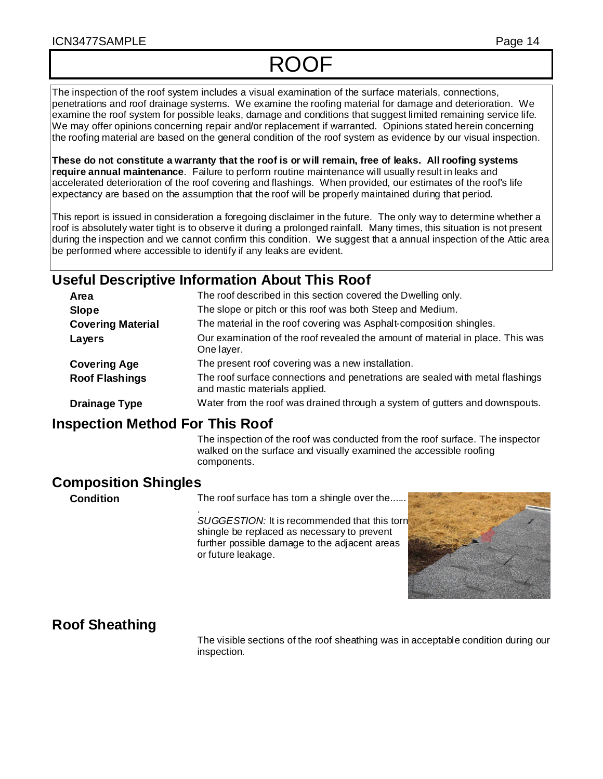# ROOF

The inspection of the roof system includes a visual examination of the surface materials, connections, penetrations and roof drainage systems. We examine the roofing material for damage and deterioration. We examine the roof system for possible leaks, damage and conditions that suggest limited remaining service life. We may offer opinions concerning repair and/or replacement if warranted. Opinions stated herein concerning the roofing material are based on the general condition of the roof system as evidence by our visual inspection.

**These do not constitute a warranty that the roof is or will remain, free of leaks. All roofing systems require annual maintenance**. Failure to perform routine maintenance will usually result in leaks and accelerated deterioration of the roof covering and flashings. When provided, our estimates of the roof's life expectancy are based on the assumption that the roof will be properly maintained during that period.

This report is issued in consideration a foregoing disclaimer in the future. The only way to determine whether a roof is absolutely water tight is to observe it during a prolonged rainfall. Many times, this situation is not present during the inspection and we cannot confirm this condition. We suggest that a annual inspection of the Attic area be performed where accessible to identify if any leaks are evident.

# **Useful Descriptive Information About This Roof**

| Area                     | The roof described in this section covered the Dwelling only.                                                  |
|--------------------------|----------------------------------------------------------------------------------------------------------------|
| <b>Slope</b>             | The slope or pitch or this roof was both Steep and Medium.                                                     |
| <b>Covering Material</b> | The material in the roof covering was Asphalt-composition shingles.                                            |
| Layers                   | Our examination of the roof revealed the amount of material in place. This was<br>One layer.                   |
| <b>Covering Age</b>      | The present roof covering was a new installation.                                                              |
| <b>Roof Flashings</b>    | The roof surface connections and penetrations are sealed with metal flashings<br>and mastic materials applied. |
| <b>Drainage Type</b>     | Water from the roof was drained through a system of gutters and downspouts.                                    |

# **Inspection Method For This Roof**

The inspection of the roof was conducted from the roof surface. The inspector walked on the surface and visually examined the accessible roofing components.

# **Composition Shingles**

**Condition** The roof surface has tom a shingle over the......

. *SUGGESTION:* It is recommended that this torn shingle be replaced as necessary to prevent further possible damage to the adjacent areas or future leakage.



# **Roof Sheathing**

The visible sections of the roof sheathing was in acceptable condition during our inspection.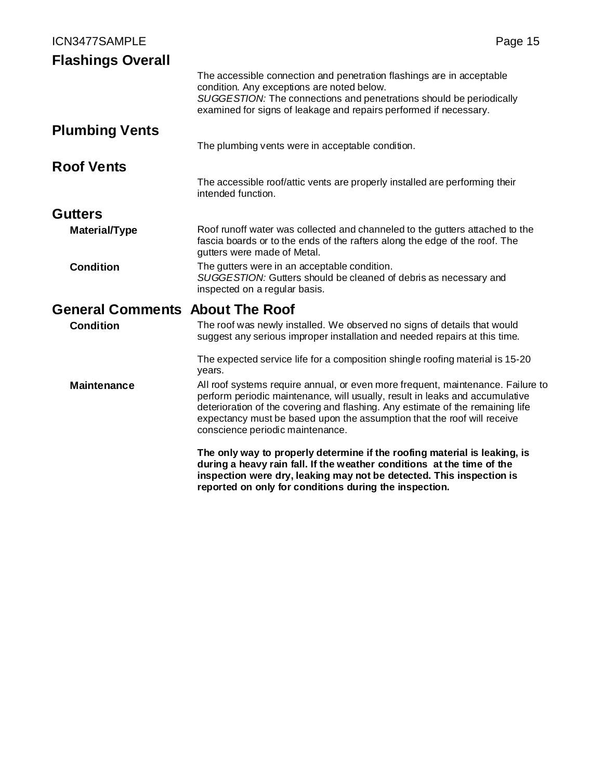| ICN3477SAMPLE                          | Page 15                                                                                                                                                                                                                                                                                                                                                          |
|----------------------------------------|------------------------------------------------------------------------------------------------------------------------------------------------------------------------------------------------------------------------------------------------------------------------------------------------------------------------------------------------------------------|
| <b>Flashings Overall</b>               |                                                                                                                                                                                                                                                                                                                                                                  |
|                                        | The accessible connection and penetration flashings are in acceptable<br>condition. Any exceptions are noted below.<br>SUGGESTION: The connections and penetrations should be periodically<br>examined for signs of leakage and repairs performed if necessary.                                                                                                  |
| <b>Plumbing Vents</b>                  |                                                                                                                                                                                                                                                                                                                                                                  |
|                                        | The plumbing vents were in acceptable condition.                                                                                                                                                                                                                                                                                                                 |
| <b>Roof Vents</b>                      |                                                                                                                                                                                                                                                                                                                                                                  |
|                                        | The accessible roof/attic vents are properly installed are performing their<br>intended function.                                                                                                                                                                                                                                                                |
| <b>Gutters</b>                         |                                                                                                                                                                                                                                                                                                                                                                  |
| <b>Material/Type</b>                   | Roof runoff water was collected and channeled to the gutters attached to the<br>fascia boards or to the ends of the rafters along the edge of the roof. The<br>gutters were made of Metal.                                                                                                                                                                       |
| <b>Condition</b>                       | The gutters were in an acceptable condition.<br>SUGGESTION: Gutters should be cleaned of debris as necessary and<br>inspected on a regular basis.                                                                                                                                                                                                                |
| <b>General Comments About The Roof</b> |                                                                                                                                                                                                                                                                                                                                                                  |
| <b>Condition</b>                       | The roof was newly installed. We observed no signs of details that would<br>suggest any serious improper installation and needed repairs at this time.                                                                                                                                                                                                           |
|                                        | The expected service life for a composition shingle roofing material is 15-20<br>years.                                                                                                                                                                                                                                                                          |
| <b>Maintenance</b>                     | All roof systems require annual, or even more frequent, maintenance. Failure to<br>perform periodic maintenance, will usually, result in leaks and accumulative<br>deterioration of the covering and flashing. Any estimate of the remaining life<br>expectancy must be based upon the assumption that the roof will receive<br>conscience periodic maintenance. |
|                                        | The only way to properly determine if the roofing material is leaking, is<br>during a heavy rain fall. If the weather conditions at the time of the<br>inspection were dry, leaking may not be detected. This inspection is<br>reported on only for conditions during the inspection.                                                                            |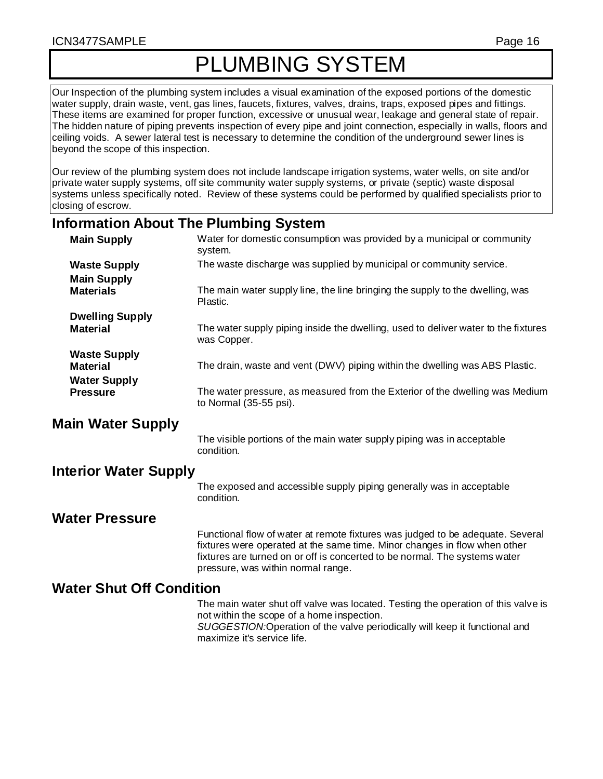#### ICN3477SAMPLE Page 16

# PLUMBING SYSTEM

Our Inspection of the plumbing system includes a visual examination of the exposed portions of the domestic water supply, drain waste, vent, gas lines, faucets, fixtures, valves, drains, traps, exposed pipes and fittings. These items are examined for proper function, excessive or unusual wear, leakage and general state of repair. The hidden nature of piping prevents inspection of every pipe and joint connection, especially in walls, floors and ceiling voids. A sewer lateral test is necessary to determine the condition of the underground sewer lines is beyond the scope of this inspection.

Our review of the plumbing system does not include landscape irrigation systems, water wells, on site and/or private water supply systems, off site community water supply systems, or private (septic) waste disposal systems unless specifically noted. Review of these systems could be performed by qualified specialists prior to closing of escrow.

#### **Information About The Plumbing System**

| <b>Main Supply</b>              | Water for domestic consumption was provided by a municipal or community<br>system.                                                                                                                                                                                              |
|---------------------------------|---------------------------------------------------------------------------------------------------------------------------------------------------------------------------------------------------------------------------------------------------------------------------------|
| <b>Waste Supply</b>             | The waste discharge was supplied by municipal or community service.                                                                                                                                                                                                             |
| <b>Main Supply</b>              |                                                                                                                                                                                                                                                                                 |
| <b>Materials</b>                | The main water supply line, the line bringing the supply to the dwelling, was<br>Plastic.                                                                                                                                                                                       |
| <b>Dwelling Supply</b>          |                                                                                                                                                                                                                                                                                 |
| <b>Material</b>                 | The water supply piping inside the dwelling, used to deliver water to the fixtures<br>was Copper.                                                                                                                                                                               |
| <b>Waste Supply</b>             |                                                                                                                                                                                                                                                                                 |
| <b>Material</b>                 | The drain, waste and vent (DWV) piping within the dwelling was ABS Plastic.                                                                                                                                                                                                     |
| <b>Water Supply</b>             |                                                                                                                                                                                                                                                                                 |
| <b>Pressure</b>                 | The water pressure, as measured from the Exterior of the dwelling was Medium<br>to Normal (35-55 psi).                                                                                                                                                                          |
| <b>Main Water Supply</b>        |                                                                                                                                                                                                                                                                                 |
|                                 | The visible portions of the main water supply piping was in acceptable<br>condition.                                                                                                                                                                                            |
| <b>Interior Water Supply</b>    |                                                                                                                                                                                                                                                                                 |
|                                 | The exposed and accessible supply piping generally was in acceptable<br>condition.                                                                                                                                                                                              |
| <b>Water Pressure</b>           |                                                                                                                                                                                                                                                                                 |
|                                 | Functional flow of water at remote fixtures was judged to be adequate. Several<br>fixtures were operated at the same time. Minor changes in flow when other<br>fixtures are turned on or off is concerted to be normal. The systems water<br>pressure, was within normal range. |
| <b>Water Shut Off Condition</b> |                                                                                                                                                                                                                                                                                 |
|                                 | The main water shut off valve was located. Testing the operation of this valve is<br>not within the scope of a home inspection.<br>SUGGESTION:Operation of the valve periodically will keep it functional and<br>maximize it's service life.                                    |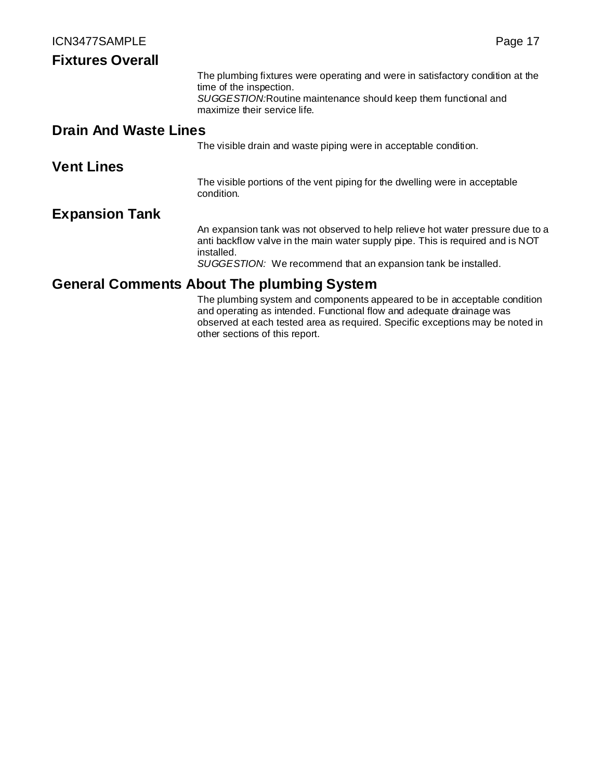| <b>Fixtures Overall</b>      |                                                                                                                                                                                                                                                 |
|------------------------------|-------------------------------------------------------------------------------------------------------------------------------------------------------------------------------------------------------------------------------------------------|
|                              | The plumbing fixtures were operating and were in satisfactory condition at the<br>time of the inspection.<br>SUGGESTION: Routine maintenance should keep them functional and<br>maximize their service life.                                    |
| <b>Drain And Waste Lines</b> |                                                                                                                                                                                                                                                 |
|                              | The visible drain and waste piping were in acceptable condition.                                                                                                                                                                                |
| <b>Vent Lines</b>            |                                                                                                                                                                                                                                                 |
|                              | The visible portions of the vent piping for the dwelling were in acceptable<br>condition.                                                                                                                                                       |
| <b>Expansion Tank</b>        |                                                                                                                                                                                                                                                 |
|                              | An expansion tank was not observed to help relieve hot water pressure due to a<br>anti backflow valve in the main water supply pipe. This is required and is NOT<br>installed.<br>SUGGESTION: We recommend that an expansion tank be installed. |
|                              | <b>General Comments About The plumbing System</b>                                                                                                                                                                                               |
|                              | The plumbing system and components appeared to be in acceptable condition<br>and operating as intended. Functional flow and adequate drainage was<br>observed at each tested area as required. Specific exceptions may be noted in              |

other sections of this report.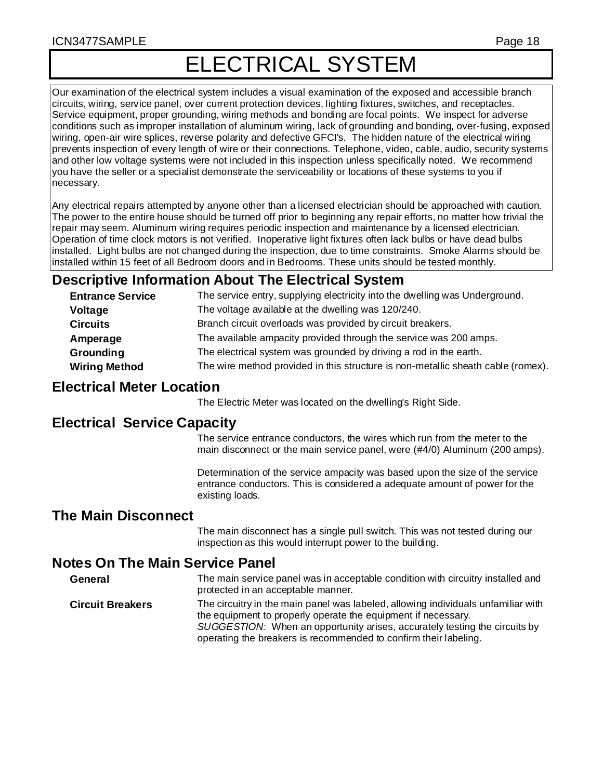# ELECTRICAL SYSTEM

Our examination of the electrical system includes a visual examination of the exposed and accessible branch circuits, wiring, service panel, over current protection devices, lighting fixtures, switches, and receptacles. Service equipment, proper grounding, wiring methods and bonding are focal points. We inspect for adverse conditions such as improper installation of aluminum wiring, lack of grounding and bonding, over-fusing, exposed wiring, open-air wire splices, reverse polarity and defective GFCI's. The hidden nature of the electrical wiring prevents inspection of every length of wire or their connections. Telephone, video, cable, audio, security systems and other low voltage systems were not included in this inspection unless specifically noted. We recommend you have the seller or a specialist demonstrate the serviceability or locations of these systems to you if necessary.

Any electrical repairs attempted by anyone other than a licensed electrician should be approached with caution. The power to the entire house should be turned off prior to beginning any repair efforts, no matter how trivial the repair may seem. Aluminum wiring requires periodic inspection and maintenance by a licensed electrician. Operation of time clock motors is not verified. Inoperative light fixtures often lack bulbs or have dead bulbs installed. Light bulbs are not changed during the inspection, due to time constraints. Smoke Alarms should be installed within 15 feet of all Bedroom doors and in Bedrooms. These units should be tested monthly.

# **Descriptive Information About The Electrical System**

| <b>Entrance Service</b> | The service entry, supplying electricity into the dwelling was Underground.      |
|-------------------------|----------------------------------------------------------------------------------|
| Voltage                 | The voltage available at the dwelling was 120/240.                               |
| <b>Circuits</b>         | Branch circuit overloads was provided by circuit breakers.                       |
| Amperage                | The available ampacity provided through the service was 200 amps.                |
| Grounding               | The electrical system was grounded by driving a rod in the earth.                |
| <b>Wiring Method</b>    | The wire method provided in this structure is non-metallic sheath cable (romex). |

# **Electrical Meter Location**

The Electric Meter was located on the dwelling's Right Side.

# **Electrical Service Capacity**

The service entrance conductors, the wires which run from the meter to the main disconnect or the main service panel, were (#4/0) Aluminum (200 amps).

Determination of the service ampacity was based upon the size of the service entrance conductors. This is considered a adequate amount of power for the existing loads.

# **The Main Disconnect**

The main disconnect has a single pull switch. This was not tested during our inspection as this would interrupt power to the building.

# **Notes On The Main Service Panel**

**General** The main service panel was in acceptable condition with circuitry installed and protected in an acceptable manner.

**Circuit Breakers** The circuitry in the main panel was labeled, allowing individuals unfamiliar with the equipment to properly operate the equipment if necessary. *SUGGESTION:* When an opportunity arises, accurately testing the circuits by operating the breakers is recommended to confirm their labeling.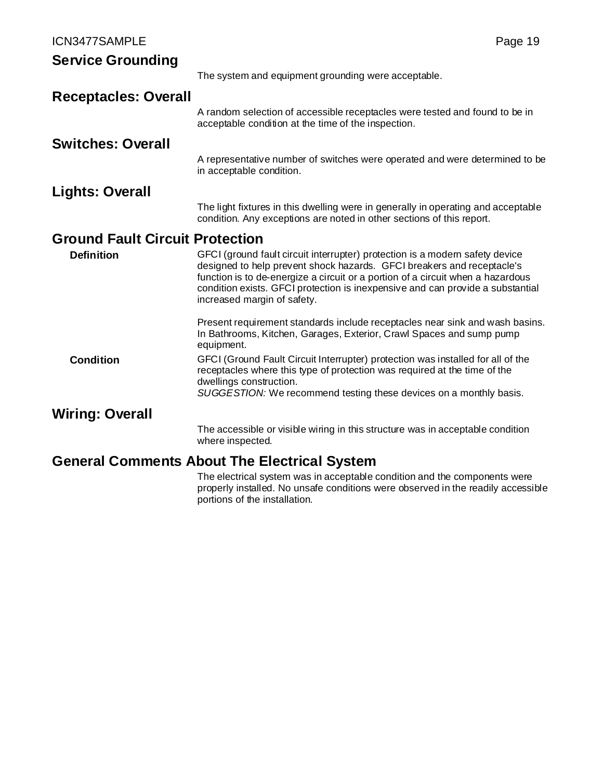| <b>Service Grounding</b>               |                                                                                                                                                                                                                                                                                                                                                            |
|----------------------------------------|------------------------------------------------------------------------------------------------------------------------------------------------------------------------------------------------------------------------------------------------------------------------------------------------------------------------------------------------------------|
|                                        | The system and equipment grounding were acceptable.                                                                                                                                                                                                                                                                                                        |
| <b>Receptacles: Overall</b>            |                                                                                                                                                                                                                                                                                                                                                            |
|                                        | A random selection of accessible receptacles were tested and found to be in<br>acceptable condition at the time of the inspection.                                                                                                                                                                                                                         |
| <b>Switches: Overall</b>               |                                                                                                                                                                                                                                                                                                                                                            |
|                                        | A representative number of switches were operated and were determined to be<br>in acceptable condition.                                                                                                                                                                                                                                                    |
| Lights: Overall                        |                                                                                                                                                                                                                                                                                                                                                            |
|                                        | The light fixtures in this dwelling were in generally in operating and acceptable<br>condition. Any exceptions are noted in other sections of this report.                                                                                                                                                                                                 |
| <b>Ground Fault Circuit Protection</b> |                                                                                                                                                                                                                                                                                                                                                            |
| <b>Definition</b>                      | GFCI (ground fault circuit interrupter) protection is a modern safety device<br>designed to help prevent shock hazards. GFCI breakers and receptacle's<br>function is to de-energize a circuit or a portion of a circuit when a hazardous<br>condition exists. GFCI protection is inexpensive and can provide a substantial<br>increased margin of safety. |
|                                        | Present requirement standards include receptacles near sink and wash basins.<br>In Bathrooms, Kitchen, Garages, Exterior, Crawl Spaces and sump pump<br>equipment.                                                                                                                                                                                         |
| <b>Condition</b>                       | GFCI (Ground Fault Circuit Interrupter) protection was installed for all of the<br>receptacles where this type of protection was required at the time of the<br>dwellings construction.<br>SUGGESTION: We recommend testing these devices on a monthly basis.                                                                                              |
| Wiring: Overall                        |                                                                                                                                                                                                                                                                                                                                                            |
|                                        | The accessible or visible wiring in this structure was in acceptable condition<br>where inspected.                                                                                                                                                                                                                                                         |
|                                        | <b>General Comments About The Electrical System</b>                                                                                                                                                                                                                                                                                                        |
|                                        | 実現 しょうしょう はんしょし<br>the change of the control of the control of the control of the control of the control of the control of the control of the control of the control of the control of the control of the control of the control of the control o                                                                                                          |

The electrical system was in acceptable condition and the components were properly installed. No unsafe conditions were observed in the readily accessible portions of the installation.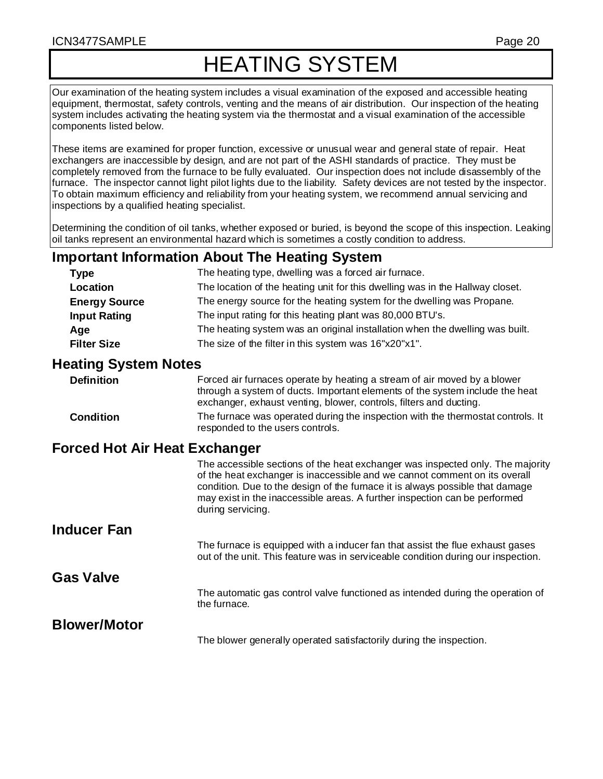# HEATING SYSTEM

Our examination of the heating system includes a visual examination of the exposed and accessible heating equipment, thermostat, safety controls, venting and the means of air distribution. Our inspection of the heating system includes activating the heating system via the thermostat and a visual examination of the accessible components listed below.

These items are examined for proper function, excessive or unusual wear and general state of repair. Heat exchangers are inaccessible by design, and are not part of the ASHI standards of practice. They must be completely removed from the furnace to be fully evaluated. Our inspection does not include disassembly of the furnace. The inspector cannot light pilot lights due to the liability. Safety devices are not tested by the inspector. To obtain maximum efficiency and reliability from your heating system, we recommend annual servicing and inspections by a qualified heating specialist.

Determining the condition of oil tanks, whether exposed or buried, is beyond the scope of this inspection. Leaking oil tanks represent an environmental hazard which is sometimes a costly condition to address.

# **Important Information About The Heating System**

| <b>Type</b>          | The heating type, dwelling was a forced air furnace.                          |
|----------------------|-------------------------------------------------------------------------------|
| Location             | The location of the heating unit for this dwelling was in the Hallway closet. |
| <b>Energy Source</b> | The energy source for the heating system for the dwelling was Propane.        |
| <b>Input Rating</b>  | The input rating for this heating plant was 80,000 BTU's.                     |
| Age                  | The heating system was an original installation when the dwelling was built.  |
| <b>Filter Size</b>   | The size of the filter in this system was 16"x20"x1".                         |

## **Heating System Notes**

| <b>Definition</b>             | Forced air furnaces operate by heating a stream of air moved by a blower<br>through a system of ducts. Important elements of the system include the heat<br>exchanger, exhaust venting, blower, controls, filters and ducting. |  |
|-------------------------------|--------------------------------------------------------------------------------------------------------------------------------------------------------------------------------------------------------------------------------|--|
| <b>Condition</b>              | The furnace was operated during the inspection with the thermostat controls. It<br>responded to the users controls.                                                                                                            |  |
| orred Hot Air Heat Exchanger: |                                                                                                                                                                                                                                |  |

# **Forced Hot Air Heat Exchanger**

|                     | The accessible sections of the heat exchanger was inspected only. The majority<br>of the heat exchanger is inaccessible and we cannot comment on its overall<br>condition. Due to the design of the furnace it is always possible that damage<br>may exist in the inaccessible areas. A further inspection can be performed<br>during servicing. |
|---------------------|--------------------------------------------------------------------------------------------------------------------------------------------------------------------------------------------------------------------------------------------------------------------------------------------------------------------------------------------------|
| <b>Inducer Fan</b>  |                                                                                                                                                                                                                                                                                                                                                  |
|                     | The furnace is equipped with a inducer fan that assist the flue exhaust gases<br>out of the unit. This feature was in serviceable condition during our inspection.                                                                                                                                                                               |
| <b>Gas Valve</b>    |                                                                                                                                                                                                                                                                                                                                                  |
|                     | The automatic gas control valve functioned as intended during the operation of<br>the furnace.                                                                                                                                                                                                                                                   |
| <b>Blower/Motor</b> |                                                                                                                                                                                                                                                                                                                                                  |
|                     | The blower generally operated satisfactorily during the inspection.                                                                                                                                                                                                                                                                              |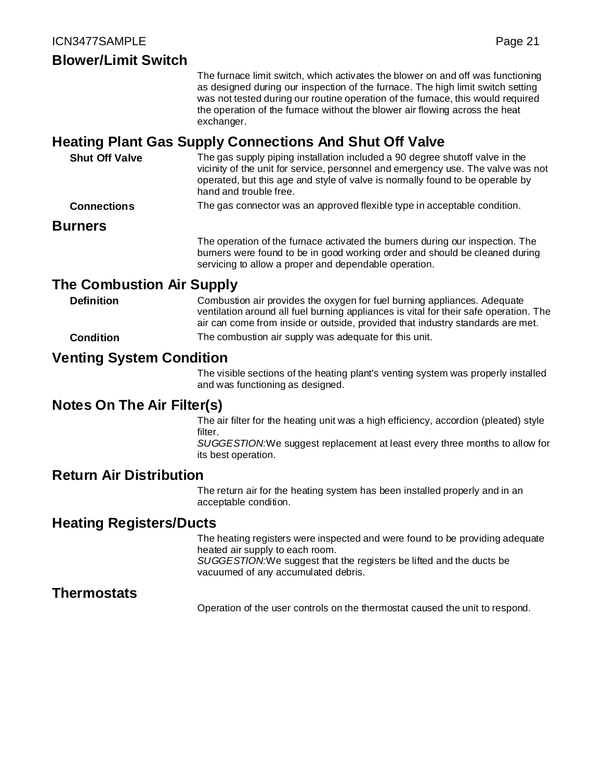# **Blower/Limit Switch**

The furnace limit switch, which activates the blower on and off was functioning as designed during our inspection of the furnace. The high limit switch setting was not tested during our routine operation of the furnace, this would required the operation of the furnace without the blower air flowing across the heat exchanger.

# **Heating Plant Gas Supply Connections And Shut Off Valve**

| <b>Shut Off Valve</b> | The gas supply piping installation included a 90 degree shutoff valve in the<br>vicinity of the unit for service, personnel and emergency use. The valve was not<br>operated, but this age and style of valve is normally found to be operable by<br>hand and trouble free. |
|-----------------------|-----------------------------------------------------------------------------------------------------------------------------------------------------------------------------------------------------------------------------------------------------------------------------|
| <b>Connections</b>    | The gas connector was an approved flexible type in acceptable condition.                                                                                                                                                                                                    |
| <b>Burners</b>        |                                                                                                                                                                                                                                                                             |
|                       | The operation of the furnace activated the burners during our inspection. The<br>burners were found to be in good working order and should be cleaned during                                                                                                                |

# **The Combustion Air Supply**

**Definition** Combustion air provides the oxygen for fuel burning appliances. Adequate ventilation around all fuel burning appliances is vital for their safe operation. The air can come from inside or outside, provided that industry standards are met.

servicing to allow a proper and dependable operation.

**Condition** The combustion air supply was adequate for this unit.

# **Venting System Condition**

The visible sections of the heating plant's venting system was properly installed and was functioning as designed.

# **Notes On The Air Filter(s)**

The air filter for the heating unit was a high efficiency, accordion (pleated) style filter.

*SUGGESTION:*We suggest replacement at least every three months to allow for its best operation.

### **Return Air Distribution**

The return air for the heating system has been installed properly and in an acceptable condition.

#### **Heating Registers/Ducts**

The heating registers were inspected and were found to be providing adequate heated air supply to each room. *SUGGESTION:*We suggest that the registers be lifted and the ducts be vacuumed of any accumulated debris.

# **Thermostats**

Operation of the user controls on the thermostat caused the unit to respond.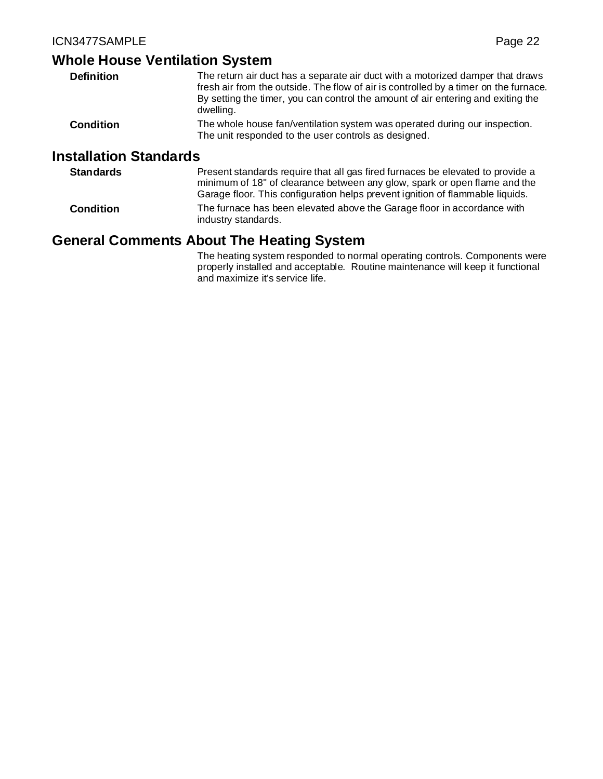#### **Whole House Ventilation System**

| <b>Definition</b>             | The return air duct has a separate air duct with a motorized damper that draws<br>fresh air from the outside. The flow of air is controlled by a timer on the furnace.<br>By setting the timer, you can control the amount of air entering and exiting the<br>dwelling. |
|-------------------------------|-------------------------------------------------------------------------------------------------------------------------------------------------------------------------------------------------------------------------------------------------------------------------|
| <b>Condition</b>              | The whole house fan/ventilation system was operated during our inspection.<br>The unit responded to the user controls as designed.                                                                                                                                      |
| <b>Installation Standards</b> |                                                                                                                                                                                                                                                                         |

**Standards** Present standards require that all gas fired furnaces be elevated to provide a minimum of 18" of clearance between any glow, spark or open flame and the Garage floor. This configuration helps prevent ignition of flammable liquids. **Condition** The furnace has been elevated above the Garage floor in accordance with industry standards.

# **General Comments About The Heating System**

The heating system responded to normal operating controls. Components were properly installed and acceptable. Routine maintenance will keep it functional and maximize it's service life.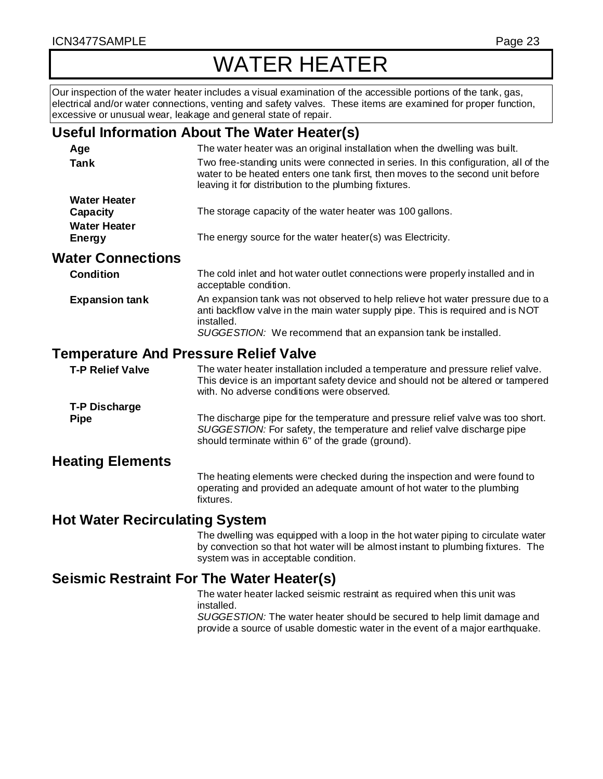# WATER HEATER

Our inspection of the water heater includes a visual examination of the accessible portions of the tank, gas, electrical and/or water connections, venting and safety valves. These items are examined for proper function, excessive or unusual wear, leakage and general state of repair.

# **Useful Information About The Water Heater(s)**

| Age                      | The water heater was an original installation when the dwelling was built.                                                                                                                                                     |
|--------------------------|--------------------------------------------------------------------------------------------------------------------------------------------------------------------------------------------------------------------------------|
| <b>Tank</b>              | Two free-standing units were connected in series. In this configuration, all of the<br>water to be heated enters one tank first, then moves to the second unit before<br>leaving it for distribution to the plumbing fixtures. |
| <b>Water Heater</b>      |                                                                                                                                                                                                                                |
| Capacity                 | The storage capacity of the water heater was 100 gallons.                                                                                                                                                                      |
| <b>Water Heater</b>      |                                                                                                                                                                                                                                |
| <b>Energy</b>            | The energy source for the water heater(s) was Electricity.                                                                                                                                                                     |
| <b>Water Connections</b> |                                                                                                                                                                                                                                |
| <b>Condition</b>         | The cold inlet and hot water outlet connections were properly installed and in<br>acceptable condition.                                                                                                                        |
| <b>Expansion tank</b>    | An expansion tank was not observed to help relieve hot water pressure due to a<br>anti backflow valve in the main water supply pipe. This is required and is NOT<br>installed.                                                 |
|                          | SUGGESTION: We recommend that an expansion tank be installed.                                                                                                                                                                  |
|                          |                                                                                                                                                                                                                                |

# **Temperature And Pressure Relief Valve**

| <b>T-P Relief Valve</b>             | The water heater installation included a temperature and pressure relief valve.<br>This device is an important safety device and should not be altered or tampered<br>with. No adverse conditions were observed. |
|-------------------------------------|------------------------------------------------------------------------------------------------------------------------------------------------------------------------------------------------------------------|
| <b>T-P Discharge</b><br><b>Pipe</b> | The discharge pipe for the temperature and pressure relief valve was too short.<br>SUGGESTION: For safety, the temperature and relief valve discharge pipe<br>should terminate within 6" of the grade (ground).  |

# **Heating Elements**

The heating elements were checked during the inspection and were found to operating and provided an adequate amount of hot water to the plumbing fixtures.

# **Hot Water Recirculating System**

The dwelling was equipped with a loop in the hot water piping to circulate water by convection so that hot water will be almost instant to plumbing fixtures. The system was in acceptable condition.

# **Seismic Restraint For The Water Heater(s)**

The water heater lacked seismic restraint as required when this unit was installed.

*SUGGESTION:* The water heater should be secured to help limit damage and provide a source of usable domestic water in the event of a major earthquake.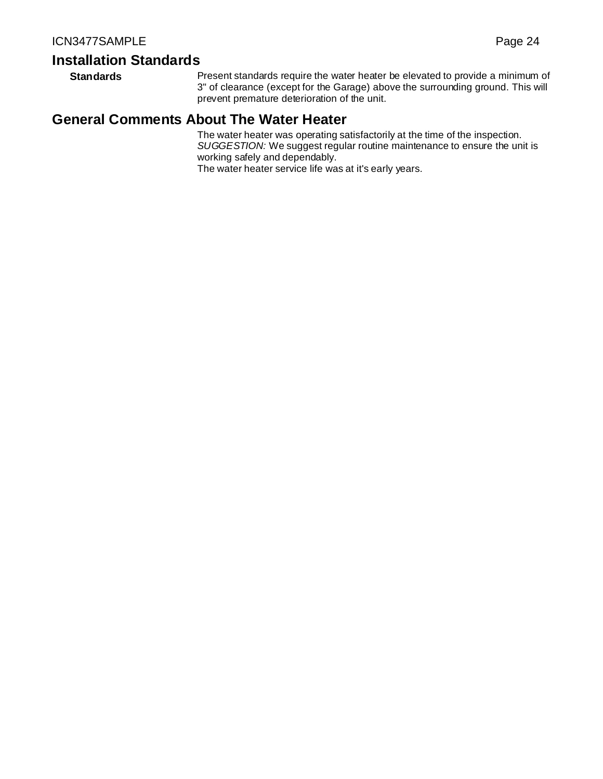# **Installation Standards**

**Standards** Present standards require the water heater be elevated to provide a minimum of 3" of clearance (except for the Garage) above the surrounding ground. This will prevent premature deterioration of the unit.

# **General Comments About The Water Heater**

The water heater was operating satisfactorily at the time of the inspection. *SUGGESTION:* We suggest regular routine maintenance to ensure the unit is working safely and dependably. The water heater service life was at it's early years.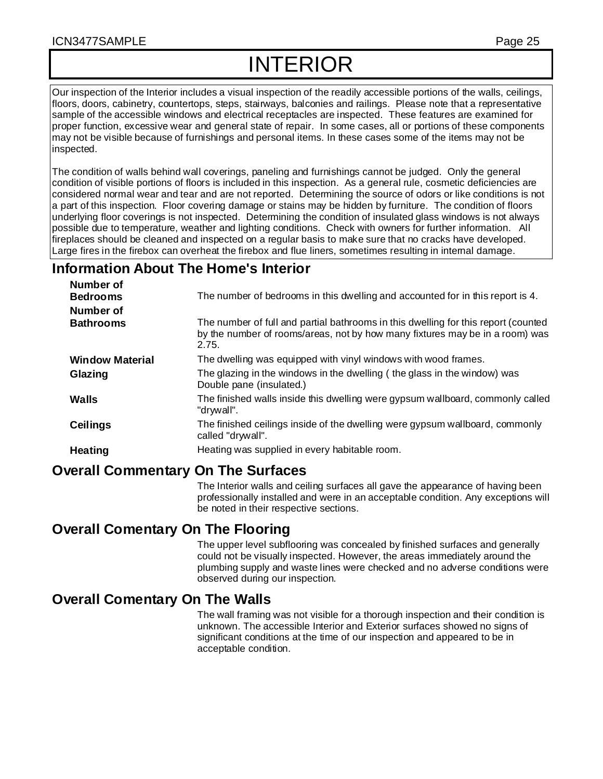# INTERIOR

Our inspection of the Interior includes a visual inspection of the readily accessible portions of the walls, ceilings, floors, doors, cabinetry, countertops, steps, stairways, balconies and railings. Please note that a representative sample of the accessible windows and electrical receptacles are inspected. These features are examined for proper function, excessive wear and general state of repair. In some cases, all or portions of these components may not be visible because of furnishings and personal items. In these cases some of the items may not be inspected.

The condition of walls behind wall coverings, paneling and furnishings cannot be judged. Only the general condition of visible portions of floors is included in this inspection. As a general rule, cosmetic deficiencies are considered normal wear and tear and are not reported. Determining the source of odors or like conditions is not a part of this inspection. Floor covering damage or stains may be hidden by furniture. The condition of floors underlying floor coverings is not inspected. Determining the condition of insulated glass windows is not always possible due to temperature, weather and lighting conditions. Check with owners for further information. All fireplaces should be cleaned and inspected on a regular basis to make sure that no cracks have developed. Large fires in the firebox can overheat the firebox and flue liners, sometimes resulting in internal damage.

# **Information About The Home's Interior**

| Number of              |                                                                                                                                                                             |
|------------------------|-----------------------------------------------------------------------------------------------------------------------------------------------------------------------------|
| <b>Bedrooms</b>        | The number of bedrooms in this dwelling and accounted for in this report is 4.                                                                                              |
| Number of              |                                                                                                                                                                             |
| <b>Bathrooms</b>       | The number of full and partial bathrooms in this dwelling for this report (counted<br>by the number of rooms/areas, not by how many fixtures may be in a room) was<br>2.75. |
| <b>Window Material</b> | The dwelling was equipped with vinyl windows with wood frames.                                                                                                              |
| Glazing                | The glazing in the windows in the dwelling (the glass in the window) was<br>Double pane (insulated.)                                                                        |
| Walls                  | The finished walls inside this dwelling were gypsum wallboard, commonly called<br>"drywall".                                                                                |
| <b>Ceilings</b>        | The finished ceilings inside of the dwelling were gypsum wallboard, commonly<br>called "drywall".                                                                           |
| <b>Heating</b>         | Heating was supplied in every habitable room.                                                                                                                               |
|                        |                                                                                                                                                                             |

# **Overall Commentary On The Surfaces**

The Interior walls and ceiling surfaces all gave the appearance of having been professionally installed and were in an acceptable condition. Any exceptions will be noted in their respective sections.

# **Overall Comentary On The Flooring**

The upper level subflooring was concealed by finished surfaces and generally could not be visually inspected. However, the areas immediately around the plumbing supply and waste lines were checked and no adverse conditions were observed during our inspection.

# **Overall Comentary On The Walls**

The wall framing was not visible for a thorough inspection and their condition is unknown. The accessible Interior and Exterior surfaces showed no signs of significant conditions at the time of our inspection and appeared to be in acceptable condition.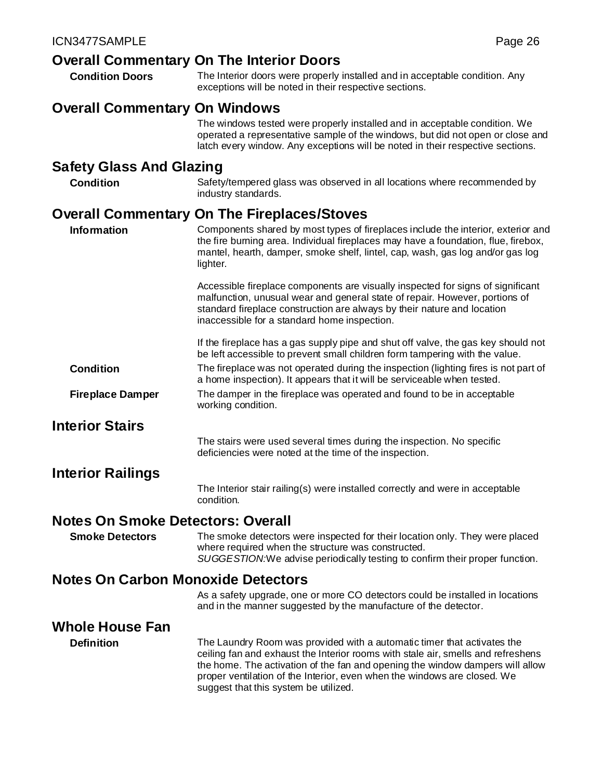- **Overall Commentary On The Interior Doors Condition Doors** The Interior doors were properly installed and in acceptable condition. Any
	- exceptions will be noted in their respective sections.

# **Overall Commentary On Windows**

The windows tested were properly installed and in acceptable condition. We operated a representative sample of the windows, but did not open or close and latch every window. Any exceptions will be noted in their respective sections.

# **Safety Glass And Glazing**

**Condition** Safety/tempered glass was observed in all locations where recommended by industry standards.

# **Overall Commentary On The Fireplaces/Stoves**

| <b>Information</b>                        | Components shared by most types of fireplaces include the interior, exterior and<br>the fire burning area. Individual fireplaces may have a foundation, flue, firebox,<br>mantel, hearth, damper, smoke shelf, lintel, cap, wash, gas log and/or gas log<br>lighter.                                                                                              |
|-------------------------------------------|-------------------------------------------------------------------------------------------------------------------------------------------------------------------------------------------------------------------------------------------------------------------------------------------------------------------------------------------------------------------|
|                                           | Accessible fireplace components are visually inspected for signs of significant<br>malfunction, unusual wear and general state of repair. However, portions of<br>standard fireplace construction are always by their nature and location<br>inaccessible for a standard home inspection.                                                                         |
|                                           | If the fireplace has a gas supply pipe and shut off valve, the gas key should not<br>be left accessible to prevent small children form tampering with the value.                                                                                                                                                                                                  |
| <b>Condition</b>                          | The fireplace was not operated during the inspection (lighting fires is not part of<br>a home inspection). It appears that it will be serviceable when tested.                                                                                                                                                                                                    |
| <b>Fireplace Damper</b>                   | The damper in the fireplace was operated and found to be in acceptable<br>working condition.                                                                                                                                                                                                                                                                      |
| <b>Interior Stairs</b>                    |                                                                                                                                                                                                                                                                                                                                                                   |
|                                           | The stairs were used several times during the inspection. No specific<br>deficiencies were noted at the time of the inspection.                                                                                                                                                                                                                                   |
| <b>Interior Railings</b>                  |                                                                                                                                                                                                                                                                                                                                                                   |
|                                           | The Interior stair railing(s) were installed correctly and were in acceptable<br>condition.                                                                                                                                                                                                                                                                       |
| <b>Notes On Smoke Detectors: Overall</b>  |                                                                                                                                                                                                                                                                                                                                                                   |
| <b>Smoke Detectors</b>                    | The smoke detectors were inspected for their location only. They were placed<br>where required when the structure was constructed.<br>SUGGESTION: We advise periodically testing to confirm their proper function.                                                                                                                                                |
| <b>Notes On Carbon Monoxide Detectors</b> |                                                                                                                                                                                                                                                                                                                                                                   |
|                                           | As a safety upgrade, one or more CO detectors could be installed in locations<br>and in the manner suggested by the manufacture of the detector.                                                                                                                                                                                                                  |
| <b>Whole House Fan</b>                    |                                                                                                                                                                                                                                                                                                                                                                   |
| <b>Definition</b>                         | The Laundry Room was provided with a automatic timer that activates the<br>ceiling fan and exhaust the Interior rooms with stale air, smells and refreshens<br>the home. The activation of the fan and opening the window dampers will allow<br>proper ventilation of the Interior, even when the windows are closed. We<br>suggest that this system be utilized. |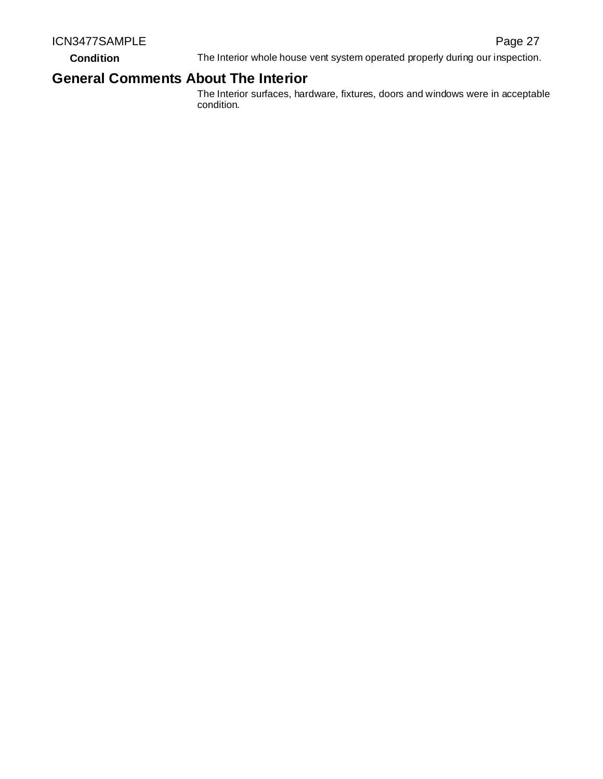**Condition** The Interior whole house vent system operated properly during our inspection.

# **General Comments About The Interior**

The Interior surfaces, hardware, fixtures, doors and windows were in acceptable condition.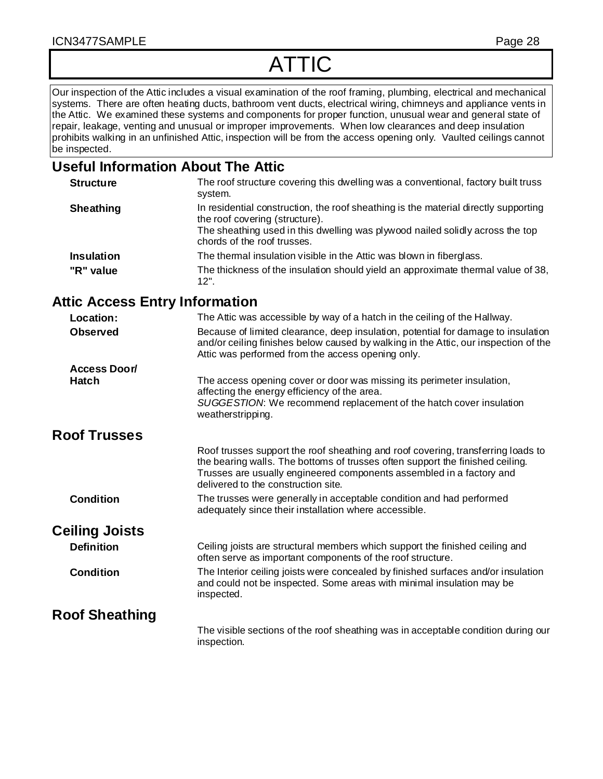# ATTIC

Our inspection of the Attic includes a visual examination of the roof framing, plumbing, electrical and mechanical systems. There are often heating ducts, bathroom vent ducts, electrical wiring, chimneys and appliance vents in the Attic. We examined these systems and components for proper function, unusual wear and general state of repair, leakage, venting and unusual or improper improvements. When low clearances and deep insulation prohibits walking in an unfinished Attic, inspection will be from the access opening only. Vaulted ceilings cannot be inspected.

# **Useful Information About The Attic**

| <b>Structure</b>  | The roof structure covering this dwelling was a conventional, factory built truss<br>system.                                                                                                                                          |
|-------------------|---------------------------------------------------------------------------------------------------------------------------------------------------------------------------------------------------------------------------------------|
| <b>Sheathing</b>  | In residential construction, the roof sheathing is the material directly supporting<br>the roof covering (structure).<br>The sheathing used in this dwelling was plywood nailed solidly across the top<br>chords of the roof trusses. |
| <b>Insulation</b> | The thermal insulation visible in the Attic was blown in fiberglass.                                                                                                                                                                  |
| "R" value         | The thickness of the insulation should yield an approximate thermal value of 38,<br>$12"$ .                                                                                                                                           |

# **Attic Access Entry Information**

| Location:             | The Attic was accessible by way of a hatch in the ceiling of the Hallway.                                                                                                                                                                                                        |
|-----------------------|----------------------------------------------------------------------------------------------------------------------------------------------------------------------------------------------------------------------------------------------------------------------------------|
| <b>Observed</b>       | Because of limited clearance, deep insulation, potential for damage to insulation<br>and/or ceiling finishes below caused by walking in the Attic, our inspection of the<br>Attic was performed from the access opening only.                                                    |
| <b>Access Door/</b>   |                                                                                                                                                                                                                                                                                  |
| <b>Hatch</b>          | The access opening cover or door was missing its perimeter insulation,                                                                                                                                                                                                           |
|                       | affecting the energy efficiency of the area.<br>SUGGESTION: We recommend replacement of the hatch cover insulation<br>weatherstripping.                                                                                                                                          |
| <b>Roof Trusses</b>   |                                                                                                                                                                                                                                                                                  |
|                       | Roof trusses support the roof sheathing and roof covering, transferring loads to<br>the bearing walls. The bottoms of trusses often support the finished ceiling.<br>Trusses are usually engineered components assembled in a factory and<br>delivered to the construction site. |
| <b>Condition</b>      | The trusses were generally in acceptable condition and had performed<br>adequately since their installation where accessible.                                                                                                                                                    |
| <b>Ceiling Joists</b> |                                                                                                                                                                                                                                                                                  |
| <b>Definition</b>     | Ceiling joists are structural members which support the finished ceiling and<br>often serve as important components of the roof structure.                                                                                                                                       |
| <b>Condition</b>      | The Interior ceiling joists were concealed by finished surfaces and/or insulation<br>and could not be inspected. Some areas with minimal insulation may be<br>inspected.                                                                                                         |
| <b>Roof Sheathing</b> |                                                                                                                                                                                                                                                                                  |
|                       | The visible sections of the roof sheathing was in acceptable condition during our<br>inspection.                                                                                                                                                                                 |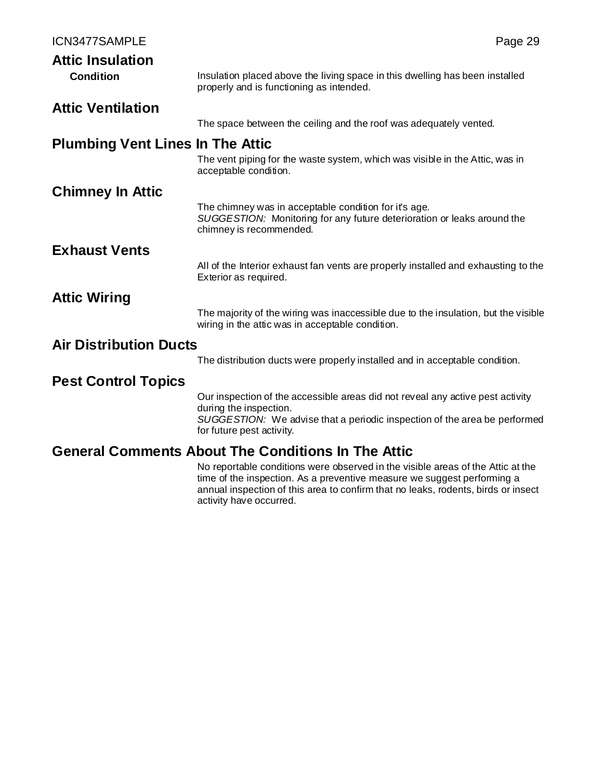| ICN3477SAMPLE                           |                                                                                                                                                                                                                    | Page 29 |
|-----------------------------------------|--------------------------------------------------------------------------------------------------------------------------------------------------------------------------------------------------------------------|---------|
| <b>Attic Insulation</b>                 |                                                                                                                                                                                                                    |         |
| <b>Condition</b>                        | Insulation placed above the living space in this dwelling has been installed<br>properly and is functioning as intended.                                                                                           |         |
| <b>Attic Ventilation</b>                |                                                                                                                                                                                                                    |         |
|                                         | The space between the ceiling and the roof was adequately vented.                                                                                                                                                  |         |
| <b>Plumbing Vent Lines In The Attic</b> |                                                                                                                                                                                                                    |         |
|                                         | The vent piping for the waste system, which was visible in the Attic, was in<br>acceptable condition.                                                                                                              |         |
| <b>Chimney In Attic</b>                 |                                                                                                                                                                                                                    |         |
|                                         | The chimney was in acceptable condition for it's age.<br>SUGGESTION: Monitoring for any future deterioration or leaks around the<br>chimney is recommended.                                                        |         |
| <b>Exhaust Vents</b>                    |                                                                                                                                                                                                                    |         |
|                                         | All of the Interior exhaust fan vents are properly installed and exhausting to the<br>Exterior as required.                                                                                                        |         |
| <b>Attic Wiring</b>                     |                                                                                                                                                                                                                    |         |
|                                         | The majority of the wiring was inaccessible due to the insulation, but the visible<br>wiring in the attic was in acceptable condition.                                                                             |         |
| <b>Air Distribution Ducts</b>           |                                                                                                                                                                                                                    |         |
|                                         | The distribution ducts were properly installed and in acceptable condition.                                                                                                                                        |         |
| <b>Pest Control Topics</b>              |                                                                                                                                                                                                                    |         |
|                                         | Our inspection of the accessible areas did not reveal any active pest activity<br>during the inspection.<br>SUGGESTION: We advise that a periodic inspection of the area be performed<br>for future pest activity. |         |
|                                         | <b>General Comments About The Conditions In The Attic</b>                                                                                                                                                          |         |

No reportable conditions were observed in the visible areas of the Attic at the time of the inspection. As a preventive measure we suggest performing a annual inspection of this area to confirm that no leaks, rodents, birds or insect activity have occurred.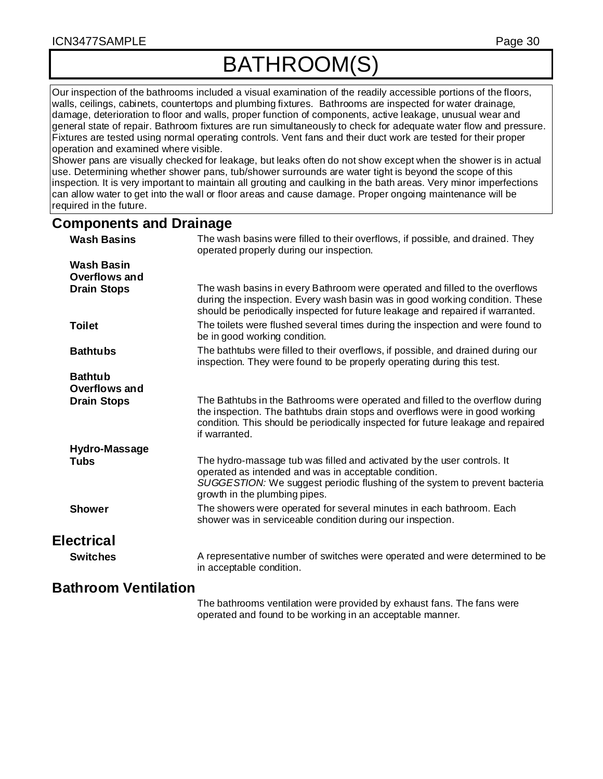# BATHROOM(S)

Our inspection of the bathrooms included a visual examination of the readily accessible portions of the floors, walls, ceilings, cabinets, countertops and plumbing fixtures. Bathrooms are inspected for water drainage, damage, deterioration to floor and walls, proper function of components, active leakage, unusual wear and general state of repair. Bathroom fixtures are run simultaneously to check for adequate water flow and pressure. Fixtures are tested using normal operating controls. Vent fans and their duct work are tested for their proper operation and examined where visible.

Shower pans are visually checked for leakage, but leaks often do not show except when the shower is in actual use. Determining whether shower pans, tub/shower surrounds are water tight is beyond the scope of this inspection. It is very important to maintain all grouting and caulking in the bath areas. Very minor imperfections can allow water to get into the wall or floor areas and cause damage. Proper ongoing maintenance will be required in the future.

## **Components and Drainage**

| <b>Wash Basins</b>                     | The wash basins were filled to their overflows, if possible, and drained. They<br>operated properly during our inspection.                                                                                                                                        |
|----------------------------------------|-------------------------------------------------------------------------------------------------------------------------------------------------------------------------------------------------------------------------------------------------------------------|
| <b>Wash Basin</b><br>Overflows and     |                                                                                                                                                                                                                                                                   |
| <b>Drain Stops</b>                     | The wash basins in every Bathroom were operated and filled to the overflows<br>during the inspection. Every wash basin was in good working condition. These<br>should be periodically inspected for future leakage and repaired if warranted.                     |
| <b>Toilet</b>                          | The toilets were flushed several times during the inspection and were found to<br>be in good working condition.                                                                                                                                                   |
| <b>Bathtubs</b>                        | The bathtubs were filled to their overflows, if possible, and drained during our<br>inspection. They were found to be properly operating during this test.                                                                                                        |
| <b>Bathtub</b><br><b>Overflows and</b> |                                                                                                                                                                                                                                                                   |
| <b>Drain Stops</b>                     | The Bathtubs in the Bathrooms were operated and filled to the overflow during<br>the inspection. The bathtubs drain stops and overflows were in good working<br>condition. This should be periodically inspected for future leakage and repaired<br>if warranted. |
| Hydro-Massage                          |                                                                                                                                                                                                                                                                   |
| <b>Tubs</b>                            | The hydro-massage tub was filled and activated by the user controls. It<br>operated as intended and was in acceptable condition.<br>SUGGESTION: We suggest periodic flushing of the system to prevent bacteria<br>growth in the plumbing pipes.                   |
| <b>Shower</b>                          | The showers were operated for several minutes in each bathroom. Each<br>shower was in serviceable condition during our inspection.                                                                                                                                |
| <b>Electrical</b>                      |                                                                                                                                                                                                                                                                   |
| <b>Switches</b>                        | A representative number of switches were operated and were determined to be<br>in acceptable condition.                                                                                                                                                           |
| <b>Bathroom Ventilation</b>            |                                                                                                                                                                                                                                                                   |

The bathrooms ventilation were provided by exhaust fans. The fans were operated and found to be working in an acceptable manner.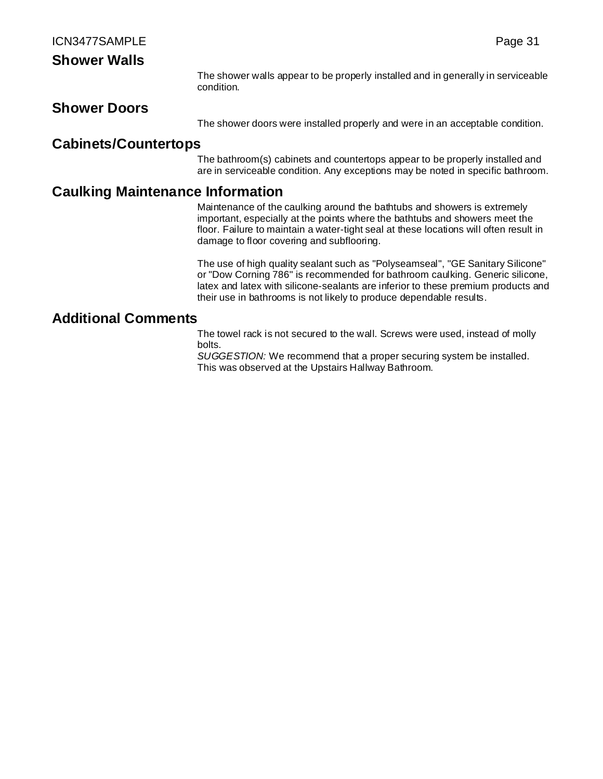# **Shower Walls**

The shower walls appear to be properly installed and in generally in serviceable condition.

# **Shower Doors**

The shower doors were installed properly and were in an acceptable condition.

# **Cabinets/Countertops**

The bathroom(s) cabinets and countertops appear to be properly installed and are in serviceable condition. Any exceptions may be noted in specific bathroom.

# **Caulking Maintenance Information**

Maintenance of the caulking around the bathtubs and showers is extremely important, especially at the points where the bathtubs and showers meet the floor. Failure to maintain a water-tight seal at these locations will often result in damage to floor covering and subflooring.

The use of high quality sealant such as "Polyseamseal", "GE Sanitary Silicone" or "Dow Corning 786" is recommended for bathroom caulking. Generic silicone, latex and latex with silicone-sealants are inferior to these premium products and their use in bathrooms is not likely to produce dependable results.

# **Additional Comments**

The towel rack is not secured to the wall. Screws were used, instead of molly bolts.

*SUGGESTION:* We recommend that a proper securing system be installed. This was observed at the Upstairs Hallway Bathroom.